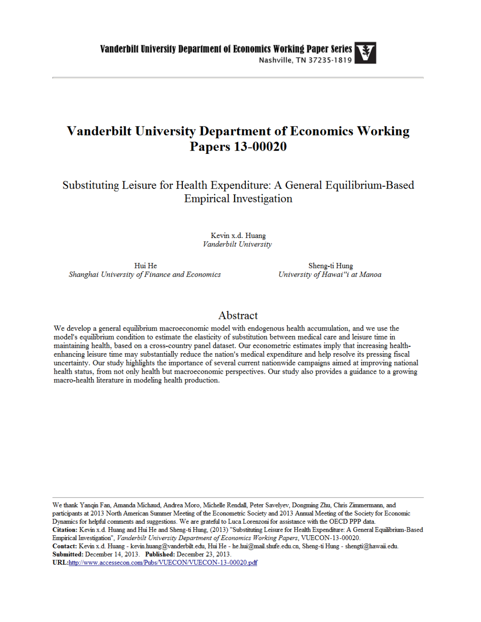## **Vanderbilt University Department of Economics Working Papers 13-00020**

Substituting Leisure for Health Expenditure: A General Equilibrium-Based **Empirical Investigation** 

> Kevin x.d. Huang Vanderbilt University

Hui He Shanghai University of Finance and Economics

Sheng-ti Hung University of Hawai"i at Manoa

## Abstract

We develop a general equilibrium macroeconomic model with endogenous health accumulation, and we use the model's equilibrium condition to estimate the elasticity of substitution between medical care and leisure time in maintaining health, based on a cross-country panel dataset. Our econometric estimates imply that increasing healthenhancing leisure time may substantially reduce the nation's medical expenditure and help resolve its pressing fiscal uncertainty. Our study highlights the importance of several current nationwide campaigns aimed at improving national health status, from not only health but macroeconomic perspectives. Our study also provides a guidance to a growing macro-health literature in modeling health production.

We thank Yanqin Fan, Amanda Michaud, Andrea Moro, Michelle Rendall, Peter Savelyev, Dongming Zhu, Chris Zimmermann, and participants at 2013 North American Summer Meeting of the Econometric Society and 2013 Annual Meeting of the Society for Economic Dynamics for helpful comments and suggestions. We are grateful to Luca Lorenzoni for assistance with the OECD PPP data. Citation: Kevin x.d. Huang and Hui He and Sheng-ti Hung, (2013) "Substituting Leisure for Health Expenditure: A General Equilibrium-Based Empirical Investigation", Vanderbilt University Department of Economics Working Papers, VUECON-13-00020. Contact: Kevin x.d. Huang - kevin.huang@vanderbilt.edu, Hui He - he.hui@mail.shufe.edu.cn, Sheng-ti Hung - shengti@hawaii.edu. Submitted: December 14, 2013. Published: December 23, 2013.

URL:http://www.accessecon.com/Pubs/VUECON/VUECON-13-00020.pdf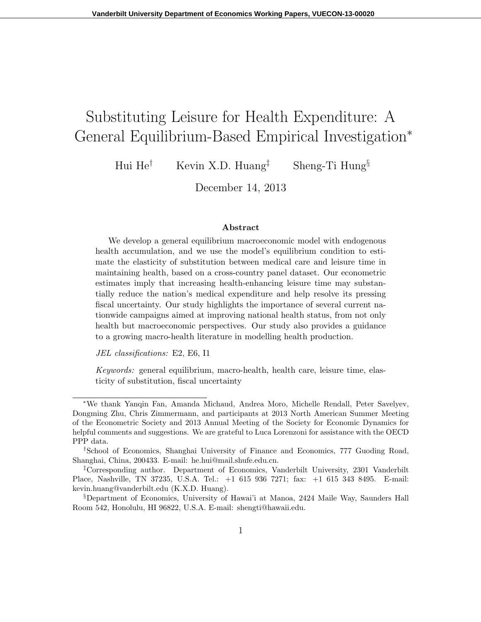# Substituting Leisure for Health Expenditure: A General Equilibrium-Based Empirical Investigation*<sup>∗</sup>*

Hui He*†* Kevin X.D. Huang*‡* Sheng-Ti Hung*§*

December 14, 2013

#### **Abstract**

We develop a general equilibrium macroeconomic model with endogenous health accumulation, and we use the model's equilibrium condition to estimate the elasticity of substitution between medical care and leisure time in maintaining health, based on a cross-country panel dataset. Our econometric estimates imply that increasing health-enhancing leisure time may substantially reduce the nation's medical expenditure and help resolve its pressing fiscal uncertainty. Our study highlights the importance of several current nationwide campaigns aimed at improving national health status, from not only health but macroeconomic perspectives. Our study also provides a guidance to a growing macro-health literature in modelling health production.

*JEL classifications:* E2, E6, I1

*Keywords:* general equilibrium, macro-health, health care, leisure time, elasticity of substitution, fiscal uncertainty

*<sup>∗</sup>*We thank Yanqin Fan, Amanda Michaud, Andrea Moro, Michelle Rendall, Peter Savelyev, Dongming Zhu, Chris Zimmermann, and participants at 2013 North American Summer Meeting of the Econometric Society and 2013 Annual Meeting of the Society for Economic Dynamics for helpful comments and suggestions. We are grateful to Luca Lorenzoni for assistance with the OECD PPP data.

*<sup>†</sup>*School of Economics, Shanghai University of Finance and Economics, 777 Guoding Road, Shanghai, China, 200433. E-mail: he.hui@mail.shufe.edu.cn.

*<sup>‡</sup>*Corresponding author. Department of Economics, Vanderbilt University, 2301 Vanderbilt Place, Nashville, TN 37235, U.S.A. Tel.: +1 615 936 7271; fax: +1 615 343 8495. E-mail: kevin.huang@vanderbilt.edu (K.X.D. Huang).

*<sup>§</sup>*Department of Economics, University of Hawai'i at Manoa, 2424 Maile Way, Saunders Hall Room 542, Honolulu, HI 96822, U.S.A. E-mail: shengti@hawaii.edu.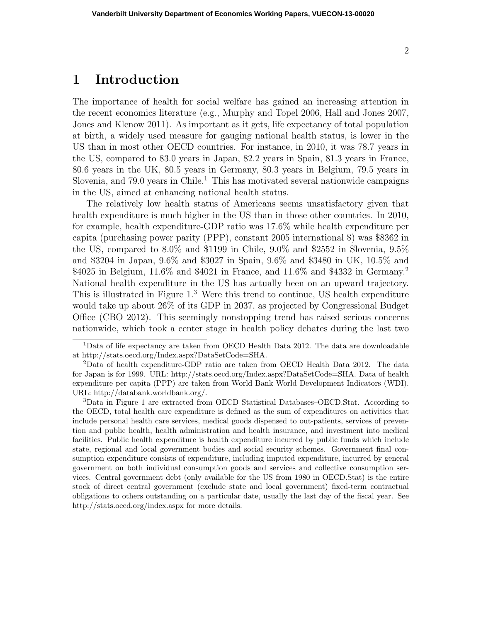## **1 Introduction**

The importance of health for social welfare has gained an increasing attention in the recent economics literature (e.g., Murphy and Topel 2006, Hall and Jones 2007, Jones and Klenow 2011). As important as it gets, life expectancy of total population at birth, a widely used measure for gauging national health status, is lower in the US than in most other OECD countries. For instance, in 2010, it was 78.7 years in the US, compared to 83.0 years in Japan, 82.2 years in Spain, 81.3 years in France, 80.6 years in the UK, 80.5 years in Germany, 80.3 years in Belgium, 79.5 years in Slovenia, and  $79.0$  years in Chile.<sup>1</sup> This has motivated several nationwide campaigns in the US, aimed at enhancing national health status.

The relatively low health status of Americans seems unsatisfactory given that health expenditure is much higher in the US than in those other countries. In 2010, for example, health expenditure-GDP ratio was 17.6% while health expenditure per capita (purchasing power parity (PPP), constant 2005 international \$) was \$8362 in the US, compared to 8.0% and \$1199 in Chile, 9.0% and \$2552 in Slovenia, 9.5% and \$3204 in Japan, 9.6% and \$3027 in Spain, 9.6% and \$3480 in UK, 10.5% and \$4025 in Belgium, 11.6% and \$4021 in France, and 11.6% and \$4332 in Germany.<sup>2</sup> National health expenditure in the US has actually been on an upward trajectory. This is illustrated in Figure 1.<sup>3</sup> Were this trend to continue, US health expenditure would take up about 26% of its GDP in 2037, as projected by Congressional Budget Office (CBO 2012). This seemingly nonstopping trend has raised serious concerns nationwide, which took a center stage in health policy debates during the last two

<sup>3</sup>Data in Figure 1 are extracted from OECD Statistical Databases–OECD.Stat. According to the OECD, total health care expenditure is defined as the sum of expenditures on activities that include personal health care services, medical goods dispensed to out-patients, services of prevention and public health, health administration and health insurance, and investment into medical facilities. Public health expenditure is health expenditure incurred by public funds which include state, regional and local government bodies and social security schemes. Government final consumption expenditure consists of expenditure, including imputed expenditure, incurred by general government on both individual consumption goods and services and collective consumption services. Central government debt (only available for the US from 1980 in OECD.Stat) is the entire stock of direct central government (exclude state and local government) fixed-term contractual obligations to others outstanding on a particular date, usually the last day of the fiscal year. See http://stats.oecd.org/index.aspx for more details.

<sup>&</sup>lt;sup>1</sup>Data of life expectancy are taken from OECD Health Data 2012. The data are downloadable at http://stats.oecd.org/Index.aspx?DataSetCode=SHA.

<sup>2</sup>Data of health expenditure-GDP ratio are taken from OECD Health Data 2012. The data for Japan is for 1999. URL: http://stats.oecd.org/Index.aspx?DataSetCode=SHA. Data of health expenditure per capita (PPP) are taken from World Bank World Development Indicators (WDI). URL: http://databank.worldbank.org/.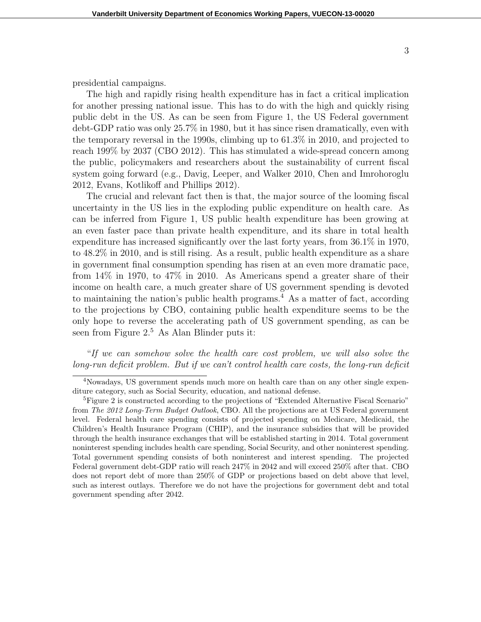presidential campaigns.

The high and rapidly rising health expenditure has in fact a critical implication for another pressing national issue. This has to do with the high and quickly rising public debt in the US. As can be seen from Figure 1, the US Federal government debt-GDP ratio was only 25.7% in 1980, but it has since risen dramatically, even with the temporary reversal in the 1990s, climbing up to 61.3% in 2010, and projected to reach 199% by 2037 (CBO 2012). This has stimulated a wide-spread concern among the public, policymakers and researchers about the sustainability of current fiscal system going forward (e.g., Davig, Leeper, and Walker 2010, Chen and Imrohoroglu 2012, Evans, Kotlikoff and Phillips 2012).

The crucial and relevant fact then is that, the major source of the looming fiscal uncertainty in the US lies in the exploding public expenditure on health care. As can be inferred from Figure 1, US public health expenditure has been growing at an even faster pace than private health expenditure, and its share in total health expenditure has increased significantly over the last forty years, from 36.1% in 1970, to 48.2% in 2010, and is still rising. As a result, public health expenditure as a share in government final consumption spending has risen at an even more dramatic pace, from 14% in 1970, to 47% in 2010. As Americans spend a greater share of their income on health care, a much greater share of US government spending is devoted to maintaining the nation's public health programs.<sup>4</sup> As a matter of fact, according to the projections by CBO, containing public health expenditure seems to be the only hope to reverse the accelerating path of US government spending, as can be seen from Figure 2.<sup>5</sup> As Alan Blinder puts it:

"*If we can somehow solve the health care cost problem, we will also solve the long-run deficit problem. But if we can't control health care costs, the long-run deficit*

<sup>4</sup>Nowadays, US government spends much more on health care than on any other single expenditure category, such as Social Security, education, and national defense.

<sup>&</sup>lt;sup>5</sup>Figure 2 is constructed according to the projections of "Extended Alternative Fiscal Scenario" from *The 2012 Long-Term Budget Outlook*, CBO. All the projections are at US Federal government level. Federal health care spending consists of projected spending on Medicare, Medicaid, the Children's Health Insurance Program (CHIP), and the insurance subsidies that will be provided through the health insurance exchanges that will be established starting in 2014. Total government noninterest spending includes health care spending, Social Security, and other noninterest spending. Total government spending consists of both noninterest and interest spending. The projected Federal government debt-GDP ratio will reach 247% in 2042 and will exceed 250% after that. CBO does not report debt of more than 250% of GDP or projections based on debt above that level, such as interest outlays. Therefore we do not have the projections for government debt and total government spending after 2042.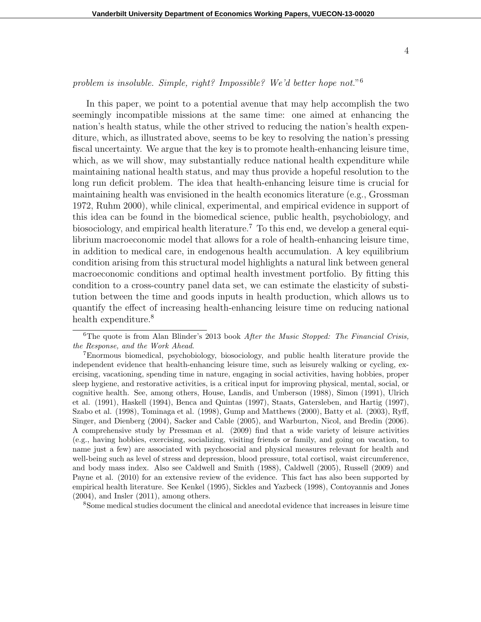### *problem is insoluble. Simple, right? Impossible? We'd better hope not.*" 6

In this paper, we point to a potential avenue that may help accomplish the two seemingly incompatible missions at the same time: one aimed at enhancing the nation's health status, while the other strived to reducing the nation's health expenditure, which, as illustrated above, seems to be key to resolving the nation's pressing fiscal uncertainty. We argue that the key is to promote health-enhancing leisure time, which, as we will show, may substantially reduce national health expenditure while maintaining national health status, and may thus provide a hopeful resolution to the long run deficit problem. The idea that health-enhancing leisure time is crucial for maintaining health was envisioned in the health economics literature (e.g., Grossman 1972, Ruhm 2000), while clinical, experimental, and empirical evidence in support of this idea can be found in the biomedical science, public health, psychobiology, and biosociology, and empirical health literature.<sup>7</sup> To this end, we develop a general equilibrium macroeconomic model that allows for a role of health-enhancing leisure time, in addition to medical care, in endogenous health accumulation. A key equilibrium condition arising from this structural model highlights a natural link between general macroeconomic conditions and optimal health investment portfolio. By fitting this condition to a cross-country panel data set, we can estimate the elasticity of substitution between the time and goods inputs in health production, which allows us to quantify the effect of increasing health-enhancing leisure time on reducing national health expenditure.<sup>8</sup>

<sup>8</sup>Some medical studies document the clinical and anecdotal evidence that increases in leisure time

<sup>6</sup>The quote is from Alan Blinder's 2013 book *After the Music Stopped: The Financial Crisis, the Response, and the Work Ahead*.

<sup>7</sup>Enormous biomedical, psychobiology, biosociology, and public health literature provide the independent evidence that health-enhancing leisure time, such as leisurely walking or cycling, exercising, vacationing, spending time in nature, engaging in social activities, having hobbies, proper sleep hygiene, and restorative activities, is a critical input for improving physical, mental, social, or cognitive health. See, among others, House, Landis, and Umberson (1988), Simon (1991), Ulrich et al. (1991), Haskell (1994), Benca and Quintas (1997), Staats, Gatersleben, and Hartig (1997), Szabo et al. (1998), Tominaga et al. (1998), Gump and Matthews (2000), Batty et al. (2003), Ryff, Singer, and Dienberg (2004), Sacker and Cable (2005), and Warburton, Nicol, and Bredin (2006). A comprehensive study by Pressman et al. (2009) find that a wide variety of leisure activities (e.g., having hobbies, exercising, socializing, visiting friends or family, and going on vacation, to name just a few) are associated with psychosocial and physical measures relevant for health and well-being such as level of stress and depression, blood pressure, total cortisol, waist circumference, and body mass index. Also see Caldwell and Smith (1988), Caldwell (2005), Russell (2009) and Payne et al. (2010) for an extensive review of the evidence. This fact has also been supported by empirical health literature. See Kenkel (1995), Sickles and Yazbeck (1998), Contoyannis and Jones (2004), and Insler (2011), among others.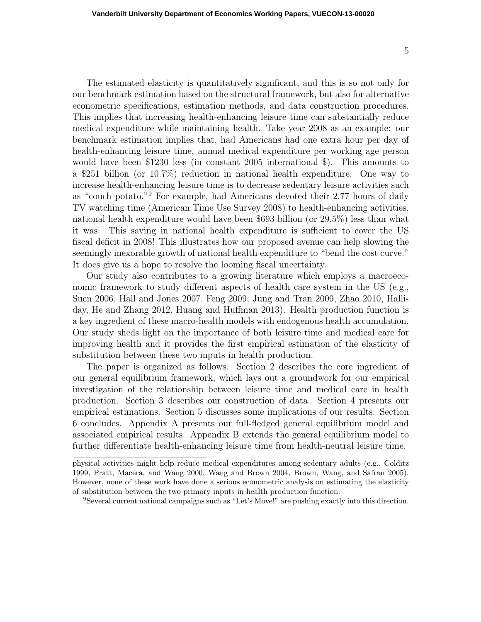The estimated elasticity is quantitatively significant, and this is so not only for our benchmark estimation based on the structural framework, but also for alternative econometric specifications, estimation methods, and data construction procedures. This implies that increasing health-enhancing leisure time can substantially reduce medical expenditure while maintaining health. Take year 2008 as an example: our benchmark estimation implies that, had Americans had one extra hour per day of health-enhancing leisure time, annual medical expenditure per working age person would have been \$1230 less (in constant 2005 international \$). This amounts to a \$251 billion (or 10.7%) reduction in national health expenditure. One way to increase health-enhancing leisure time is to decrease sedentary leisure activities such as "couch potato."<sup>9</sup> For example, had Americans devoted their 2.77 hours of daily TV watching time (American Time Use Survey 2008) to health-enhancing activities, national health expenditure would have been \$693 billion (or 29.5%) less than what it was. This saving in national health expenditure is sufficient to cover the US fiscal deficit in 2008! This illustrates how our proposed avenue can help slowing the seemingly inexorable growth of national health expenditure to "bend the cost curve." It does give us a hope to resolve the looming fiscal uncertainty.

Our study also contributes to a growing literature which employs a macroeconomic framework to study different aspects of health care system in the US (e.g., Suen 2006, Hall and Jones 2007, Feng 2009, Jung and Tran 2009, Zhao 2010, Halliday, He and Zhang 2012, Huang and Huffman 2013). Health production function is a key ingredient of these macro-health models with endogenous health accumulation. Our study sheds light on the importance of both leisure time and medical care for improving health and it provides the first empirical estimation of the elasticity of substitution between these two inputs in health production.

The paper is organized as follows. Section 2 describes the core ingredient of our general equilibrium framework, which lays out a groundwork for our empirical investigation of the relationship between leisure time and medical care in health production. Section 3 describes our construction of data. Section 4 presents our empirical estimations. Section 5 discusses some implications of our results. Section 6 concludes. Appendix A presents our full-fledged general equilibrium model and associated empirical results. Appendix B extends the general equilibrium model to further differentiate health-enhancing leisure time from health-neutral leisure time.

physical activities might help reduce medical expenditures among sedentary adults (e.g., Colditz 1999, Pratt, Macera, and Wang 2000, Wang and Brown 2004, Brown, Wang, and Safran 2005). However, none of these work have done a serious econometric analysis on estimating the elasticity of substitution between the two primary inputs in health production function.

<sup>9</sup>Several current national campaigns such as "Let's Move!" are pushing exactly into this direction.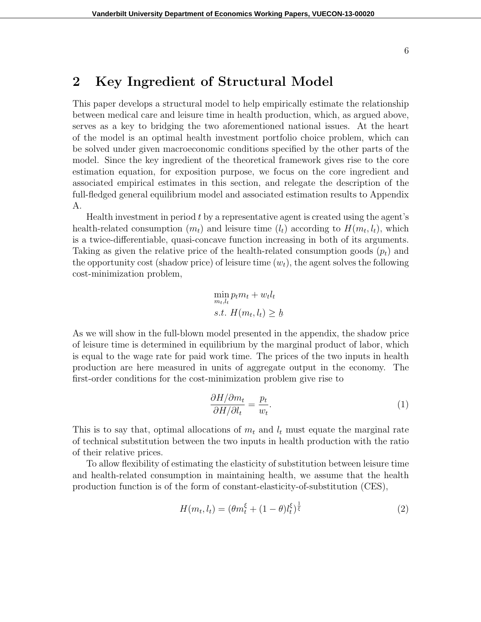## **2 Key Ingredient of Structural Model**

This paper develops a structural model to help empirically estimate the relationship between medical care and leisure time in health production, which, as argued above, serves as a key to bridging the two aforementioned national issues. At the heart of the model is an optimal health investment portfolio choice problem, which can be solved under given macroeconomic conditions specified by the other parts of the model. Since the key ingredient of the theoretical framework gives rise to the core estimation equation, for exposition purpose, we focus on the core ingredient and associated empirical estimates in this section, and relegate the description of the full-fledged general equilibrium model and associated estimation results to Appendix A.

Health investment in period *t* by a representative agent is created using the agent's health-related consumption  $(m_t)$  and leisure time  $(l_t)$  according to  $H(m_t, l_t)$ , which is a twice-differentiable, quasi-concave function increasing in both of its arguments. Taking as given the relative price of the health-related consumption goods  $(p_t)$  and the opportunity cost (shadow price) of leisure time  $(w_t)$ , the agent solves the following cost-minimization problem,

$$
\min_{m_t, l_t} p_t m_t + w_t l_t
$$
  
s.t.  $H(m_t, l_t) \geq \underline{h}$ 

As we will show in the full-blown model presented in the appendix, the shadow price of leisure time is determined in equilibrium by the marginal product of labor, which is equal to the wage rate for paid work time. The prices of the two inputs in health production are here measured in units of aggregate output in the economy. The first-order conditions for the cost-minimization problem give rise to

$$
\frac{\partial H/\partial m_t}{\partial H/\partial l_t} = \frac{p_t}{w_t}.\tag{1}
$$

This is to say that, optimal allocations of  $m_t$  and  $l_t$  must equate the marginal rate of technical substitution between the two inputs in health production with the ratio of their relative prices.

To allow flexibility of estimating the elasticity of substitution between leisure time and health-related consumption in maintaining health, we assume that the health production function is of the form of constant-elasticity-of-substitution (CES),

$$
H(m_t, l_t) = (\theta m_t^{\xi} + (1 - \theta) l_t^{\xi})^{\frac{1}{\xi}}
$$
\n(2)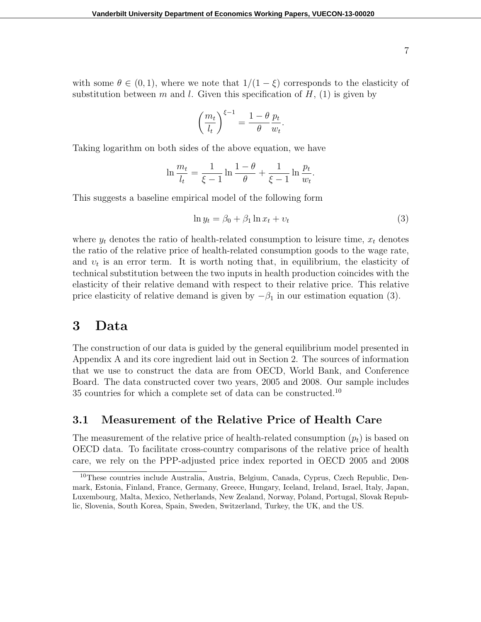with some  $\theta \in (0,1)$ , where we note that  $1/(1-\xi)$  corresponds to the elasticity of substitution between  $m$  and  $l$ . Given this specification of  $H$ , (1) is given by

$$
\left(\frac{m_t}{l_t}\right)^{\xi-1} = \frac{1-\theta}{\theta} \frac{p_t}{w_t}.
$$

Taking logarithm on both sides of the above equation, we have

$$
\ln \frac{m_t}{l_t} = \frac{1}{\xi - 1} \ln \frac{1 - \theta}{\theta} + \frac{1}{\xi - 1} \ln \frac{p_t}{w_t}.
$$

This suggests a baseline empirical model of the following form

$$
\ln y_t = \beta_0 + \beta_1 \ln x_t + v_t \tag{3}
$$

where  $y_t$  denotes the ratio of health-related consumption to leisure time,  $x_t$  denotes the ratio of the relative price of health-related consumption goods to the wage rate, and  $v_t$  is an error term. It is worth noting that, in equilibrium, the elasticity of technical substitution between the two inputs in health production coincides with the elasticity of their relative demand with respect to their relative price. This relative price elasticity of relative demand is given by  $-\beta_1$  in our estimation equation (3).

## **3 Data**

The construction of our data is guided by the general equilibrium model presented in Appendix A and its core ingredient laid out in Section 2. The sources of information that we use to construct the data are from OECD, World Bank, and Conference Board. The data constructed cover two years, 2005 and 2008. Our sample includes 35 countries for which a complete set of data can be constructed.<sup>10</sup>

## **3.1 Measurement of the Relative Price of Health Care**

The measurement of the relative price of health-related consumption  $(p_t)$  is based on OECD data. To facilitate cross-country comparisons of the relative price of health care, we rely on the PPP-adjusted price index reported in OECD 2005 and 2008

<sup>10</sup>These countries include Australia, Austria, Belgium, Canada, Cyprus, Czech Republic, Denmark, Estonia, Finland, France, Germany, Greece, Hungary, Iceland, Ireland, Israel, Italy, Japan, Luxembourg, Malta, Mexico, Netherlands, New Zealand, Norway, Poland, Portugal, Slovak Republic, Slovenia, South Korea, Spain, Sweden, Switzerland, Turkey, the UK, and the US.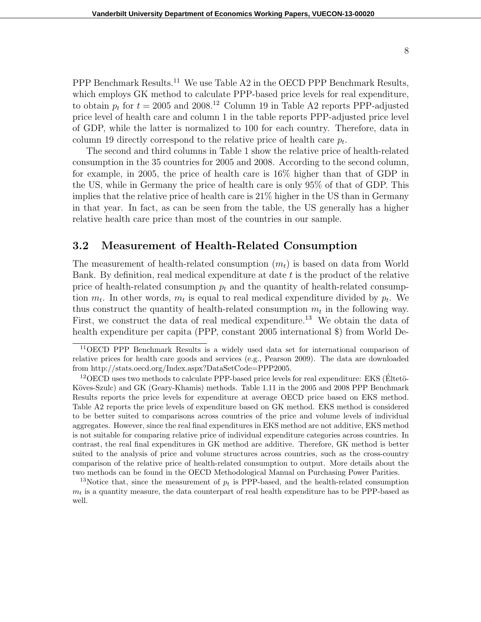PPP Benchmark Results.<sup>11</sup> We use Table A2 in the OECD PPP Benchmark Results, which employs GK method to calculate PPP-based price levels for real expenditure, to obtain  $p_t$  for  $t = 2005$  and  $2008$ .<sup>12</sup> Column 19 in Table A2 reports PPP-adjusted price level of health care and column 1 in the table reports PPP-adjusted price level of GDP, while the latter is normalized to 100 for each country. Therefore, data in column 19 directly correspond to the relative price of health care *p<sup>t</sup>* .

The second and third columns in Table 1 show the relative price of health-related consumption in the 35 countries for 2005 and 2008. According to the second column, for example, in 2005, the price of health care is 16% higher than that of GDP in the US, while in Germany the price of health care is only 95% of that of GDP. This implies that the relative price of health care is 21% higher in the US than in Germany in that year. In fact, as can be seen from the table, the US generally has a higher relative health care price than most of the countries in our sample.

## **3.2 Measurement of Health-Related Consumption**

The measurement of health-related consumption  $(m_t)$  is based on data from World Bank. By definition, real medical expenditure at date *t* is the product of the relative price of health-related consumption  $p_t$  and the quantity of health-related consumption  $m_t$ . In other words,  $m_t$  is equal to real medical expenditure divided by  $p_t$ . We thus construct the quantity of health-related consumption  $m_t$  in the following way. First, we construct the data of real medical expenditure.<sup>13</sup> We obtain the data of health expenditure per capita (PPP, constant 2005 international \$) from World De-

<sup>11</sup>OECD PPP Benchmark Results is a widely used data set for international comparison of relative prices for health care goods and services (e.g., Pearson 2009). The data are downloaded from http://stats.oecd.org/Index.aspx?DataSetCode=PPP2005.

 $12$ OECD uses two methods to calculate PPP-based price levels for real expenditure: EKS (Eltetö-Köves-Szulc) and GK (Geary-Khamis) methods. Table 1.11 in the 2005 and 2008 PPP Benchmark Results reports the price levels for expenditure at average OECD price based on EKS method. Table A2 reports the price levels of expenditure based on GK method. EKS method is considered to be better suited to comparisons across countries of the price and volume levels of individual aggregates. However, since the real final expenditures in EKS method are not additive, EKS method is not suitable for comparing relative price of individual expenditure categories across countries. In contrast, the real final expenditures in GK method are additive. Therefore, GK method is better suited to the analysis of price and volume structures across countries, such as the cross-country comparison of the relative price of health-related consumption to output. More details about the two methods can be found in the OECD Methodological Manual on Purchasing Power Parities.

<sup>&</sup>lt;sup>13</sup>Notice that, since the measurement of  $p_t$  is PPP-based, and the health-related consumption  $m<sub>t</sub>$  is a quantity measure, the data counterpart of real health expenditure has to be PPP-based as well.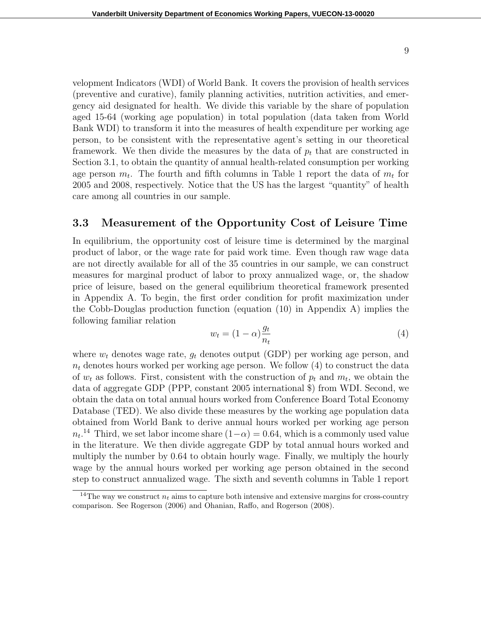velopment Indicators (WDI) of World Bank. It covers the provision of health services (preventive and curative), family planning activities, nutrition activities, and emergency aid designated for health. We divide this variable by the share of population aged 15-64 (working age population) in total population (data taken from World Bank WDI) to transform it into the measures of health expenditure per working age person, to be consistent with the representative agent's setting in our theoretical framework. We then divide the measures by the data of  $p_t$  that are constructed in Section 3.1, to obtain the quantity of annual health-related consumption per working age person  $m_t$ . The fourth and fifth columns in Table 1 report the data of  $m_t$  for 2005 and 2008, respectively. Notice that the US has the largest "quantity" of health care among all countries in our sample.

### **3.3 Measurement of the Opportunity Cost of Leisure Time**

In equilibrium, the opportunity cost of leisure time is determined by the marginal product of labor, or the wage rate for paid work time. Even though raw wage data are not directly available for all of the 35 countries in our sample, we can construct measures for marginal product of labor to proxy annualized wage, or, the shadow price of leisure, based on the general equilibrium theoretical framework presented in Appendix A. To begin, the first order condition for profit maximization under the Cobb-Douglas production function (equation (10) in Appendix A) implies the following familiar relation

$$
w_t = (1 - \alpha) \frac{g_t}{n_t} \tag{4}
$$

where  $w_t$  denotes wage rate,  $g_t$  denotes output (GDP) per working age person, and  $n_t$  denotes hours worked per working age person. We follow  $(4)$  to construct the data of  $w_t$  as follows. First, consistent with the construction of  $p_t$  and  $m_t$ , we obtain the data of aggregate GDP (PPP, constant 2005 international \$) from WDI. Second, we obtain the data on total annual hours worked from Conference Board Total Economy Database (TED). We also divide these measures by the working age population data obtained from World Bank to derive annual hours worked per working age person  $n_t$ <sup>14</sup> Third, we set labor income share  $(1-\alpha) = 0.64$ , which is a commonly used value in the literature. We then divide aggregate GDP by total annual hours worked and multiply the number by 0.64 to obtain hourly wage. Finally, we multiply the hourly wage by the annual hours worked per working age person obtained in the second step to construct annualized wage. The sixth and seventh columns in Table 1 report

<sup>&</sup>lt;sup>14</sup>The way we construct  $n_t$  aims to capture both intensive and extensive margins for cross-country comparison. See Rogerson (2006) and Ohanian, Raffo, and Rogerson (2008).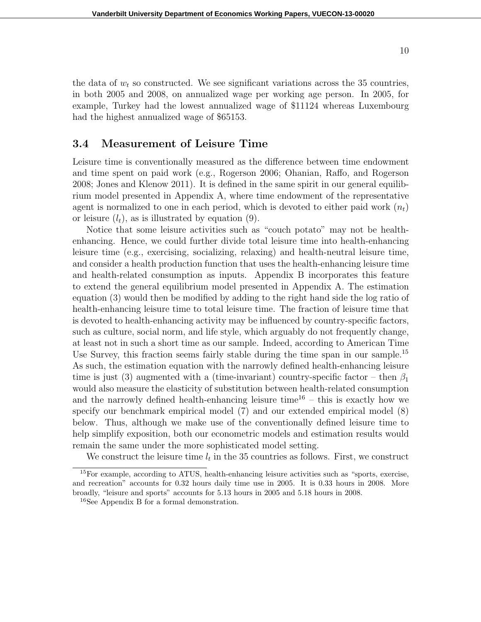the data of  $w_t$  so constructed. We see significant variations across the 35 countries, in both 2005 and 2008, on annualized wage per working age person. In 2005, for example, Turkey had the lowest annualized wage of \$11124 whereas Luxembourg had the highest annualized wage of \$65153.

### **3.4 Measurement of Leisure Time**

Leisure time is conventionally measured as the difference between time endowment and time spent on paid work (e.g., Rogerson 2006; Ohanian, Raffo, and Rogerson 2008; Jones and Klenow 2011). It is defined in the same spirit in our general equilibrium model presented in Appendix A, where time endowment of the representative agent is normalized to one in each period, which is devoted to either paid work  $(n_t)$ or leisure  $(l_t)$ , as is illustrated by equation  $(9)$ .

Notice that some leisure activities such as "couch potato" may not be healthenhancing. Hence, we could further divide total leisure time into health-enhancing leisure time (e.g., exercising, socializing, relaxing) and health-neutral leisure time, and consider a health production function that uses the health-enhancing leisure time and health-related consumption as inputs. Appendix B incorporates this feature to extend the general equilibrium model presented in Appendix A. The estimation equation (3) would then be modified by adding to the right hand side the log ratio of health-enhancing leisure time to total leisure time. The fraction of leisure time that is devoted to health-enhancing activity may be influenced by country-specific factors, such as culture, social norm, and life style, which arguably do not frequently change, at least not in such a short time as our sample. Indeed, according to American Time Use Survey, this fraction seems fairly stable during the time span in our sample.<sup>15</sup> As such, the estimation equation with the narrowly defined health-enhancing leisure time is just (3) augmented with a (time-invariant) country-specific factor – then  $\beta_1$ would also measure the elasticity of substitution between health-related consumption and the narrowly defined health-enhancing leisure time<sup>16</sup> – this is exactly how we specify our benchmark empirical model (7) and our extended empirical model (8) below. Thus, although we make use of the conventionally defined leisure time to help simplify exposition, both our econometric models and estimation results would remain the same under the more sophisticated model setting.

We construct the leisure time  $l_t$  in the 35 countries as follows. First, we construct

10

<sup>&</sup>lt;sup>15</sup>For example, according to ATUS, health-enhancing leisure activities such as "sports, exercise, and recreation" accounts for 0.32 hours daily time use in 2005. It is 0.33 hours in 2008. More broadly, "leisure and sports" accounts for 5.13 hours in 2005 and 5.18 hours in 2008.

<sup>16</sup>See Appendix B for a formal demonstration.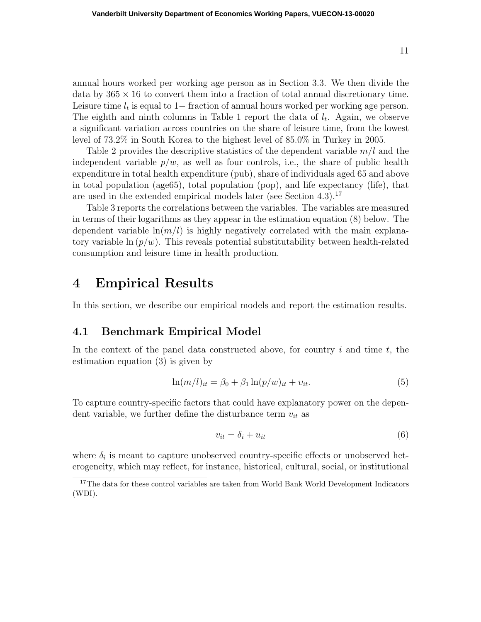annual hours worked per working age person as in Section 3.3. We then divide the data by  $365 \times 16$  to convert them into a fraction of total annual discretionary time. Leisure time *l<sup>t</sup>* is equal to 1*−* fraction of annual hours worked per working age person. The eighth and ninth columns in Table 1 report the data of  $l_t$ . Again, we observe a significant variation across countries on the share of leisure time, from the lowest level of 73.2% in South Korea to the highest level of 85.0% in Turkey in 2005.

Table 2 provides the descriptive statistics of the dependent variable *m/l* and the independent variable  $p/w$ , as well as four controls, i.e., the share of public health expenditure in total health expenditure (pub), share of individuals aged 65 and above in total population (age65), total population (pop), and life expectancy (life), that are used in the extended empirical models later (see Section 4.3).<sup>17</sup>

Table 3 reports the correlations between the variables. The variables are measured in terms of their logarithms as they appear in the estimation equation (8) below. The dependent variable  $\ln(m/l)$  is highly negatively correlated with the main explanatory variable  $\ln (p/w)$ . This reveals potential substitutability between health-related consumption and leisure time in health production.

## **4 Empirical Results**

In this section, we describe our empirical models and report the estimation results.

### **4.1 Benchmark Empirical Model**

In the context of the panel data constructed above, for country *i* and time *t*, the estimation equation (3) is given by

$$
\ln(m/l)_{it} = \beta_0 + \beta_1 \ln(p/w)_{it} + v_{it}.
$$
\n(5)

To capture country-specific factors that could have explanatory power on the dependent variable, we further define the disturbance term  $v_{it}$  as

$$
v_{it} = \delta_i + u_{it} \tag{6}
$$

where  $\delta_i$  is meant to capture unobserved country-specific effects or unobserved heterogeneity, which may reflect, for instance, historical, cultural, social, or institutional

<sup>&</sup>lt;sup>17</sup>The data for these control variables are taken from World Bank World Development Indicators (WDI).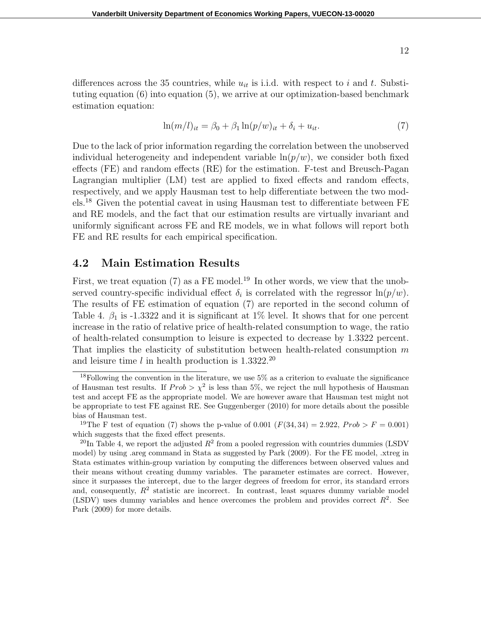differences across the 35 countries, while  $u_{it}$  is i.i.d. with respect to *i* and *t*. Substituting equation (6) into equation (5), we arrive at our optimization-based benchmark estimation equation:

$$
\ln(m/l)_{it} = \beta_0 + \beta_1 \ln(p/w)_{it} + \delta_i + u_{it}.\tag{7}
$$

Due to the lack of prior information regarding the correlation between the unobserved individual heterogeneity and independent variable  $\ln(p/w)$ , we consider both fixed effects (FE) and random effects (RE) for the estimation. F-test and Breusch-Pagan Lagrangian multiplier (LM) test are applied to fixed effects and random effects, respectively, and we apply Hausman test to help differentiate between the two models.<sup>18</sup> Given the potential caveat in using Hausman test to differentiate between FE and RE models, and the fact that our estimation results are virtually invariant and uniformly significant across FE and RE models, we in what follows will report both FE and RE results for each empirical specification.

### **4.2 Main Estimation Results**

First, we treat equation (7) as a FE model.<sup>19</sup> In other words, we view that the unobserved country-specific individual effect  $\delta_i$  is correlated with the regressor  $\ln(p/w)$ . The results of FE estimation of equation (7) are reported in the second column of Table 4.  $\beta_1$  is -1.3322 and it is significant at 1% level. It shows that for one percent increase in the ratio of relative price of health-related consumption to wage, the ratio of health-related consumption to leisure is expected to decrease by 1.3322 percent. That implies the elasticity of substitution between health-related consumption *m* and leisure time  $l$  in health production is  $1.3322.^{20}$ 

<sup>&</sup>lt;sup>18</sup>Following the convention in the literature, we use 5% as a criterion to evaluate the significance of Hausman test results. If  $Prob > \chi^2$  is less than 5%, we reject the null hypothesis of Hausman test and accept FE as the appropriate model. We are however aware that Hausman test might not be appropriate to test FE against RE. See Guggenberger (2010) for more details about the possible bias of Hausman test.

<sup>&</sup>lt;sup>19</sup>The F test of equation (7) shows the p-value of 0.001 ( $F(34, 34) = 2.922$ ,  $Prob > F = 0.001$ ) which suggests that the fixed effect presents.

<sup>&</sup>lt;sup>20</sup>In Table 4, we report the adjusted  $R^2$  from a pooled regression with countries dummies (LSDV model) by using .areg command in Stata as suggested by Park (2009). For the FE model, .xtreg in Stata estimates within-group variation by computing the differences between observed values and their means without creating dummy variables. The parameter estimates are correct. However, since it surpasses the intercept, due to the larger degrees of freedom for error, its standard errors and, consequently,  $R^2$  statistic are incorrect. In contrast, least squares dummy variable model (LSDV) uses dummy variables and hence overcomes the problem and provides correct  $R^2$ . See Park (2009) for more details.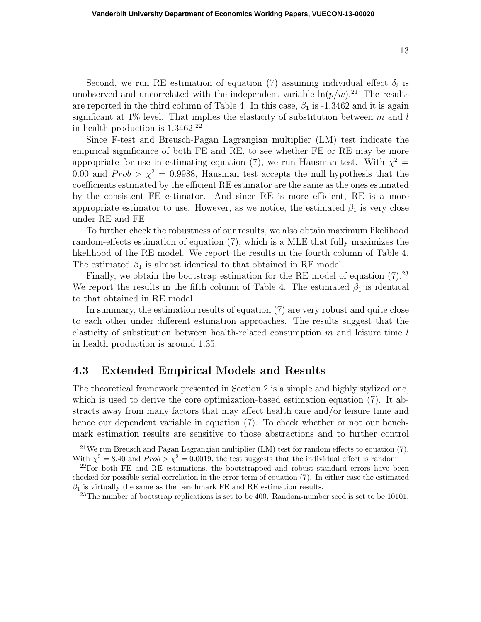Second, we run RE estimation of equation (7) assuming individual effect  $\delta_i$  is unobserved and uncorrelated with the independent variable  $\ln(p/w)$ .<sup>21</sup> The results are reported in the third column of Table 4. In this case,  $\beta_1$  is -1.3462 and it is again significant at 1% level. That implies the elasticity of substitution between *m* and *l* in health production is 1.3462.<sup>22</sup>

Since F-test and Breusch-Pagan Lagrangian multiplier (LM) test indicate the empirical significance of both FE and RE, to see whether FE or RE may be more appropriate for use in estimating equation (7), we run Hausman test. With  $\chi^2 =$ 0.00 and  $Prob > \chi^2 = 0.9988$ , Hausman test accepts the null hypothesis that the coefficients estimated by the efficient RE estimator are the same as the ones estimated by the consistent FE estimator. And since RE is more efficient, RE is a more appropriate estimator to use. However, as we notice, the estimated  $\beta_1$  is very close under RE and FE.

To further check the robustness of our results, we also obtain maximum likelihood random-effects estimation of equation (7), which is a MLE that fully maximizes the likelihood of the RE model. We report the results in the fourth column of Table 4. The estimated  $\beta_1$  is almost identical to that obtained in RE model.

Finally, we obtain the bootstrap estimation for the RE model of equation  $(7).^{23}$ We report the results in the fifth column of Table 4. The estimated  $\beta_1$  is identical to that obtained in RE model.

In summary, the estimation results of equation (7) are very robust and quite close to each other under different estimation approaches. The results suggest that the elasticity of substitution between health-related consumption *m* and leisure time *l* in health production is around 1.35.

### **4.3 Extended Empirical Models and Results**

The theoretical framework presented in Section 2 is a simple and highly stylized one, which is used to derive the core optimization-based estimation equation (7). It abstracts away from many factors that may affect health care and/or leisure time and hence our dependent variable in equation (7). To check whether or not our benchmark estimation results are sensitive to those abstractions and to further control

13

<sup>21</sup>We run Breusch and Pagan Lagrangian multiplier (LM) test for random effects to equation (7). With  $\chi^2 = 8.40$  and  $Prob > \chi^2 = 0.0019$ , the test suggests that the individual effect is random.

 $^{22}$ For both FE and RE estimations, the bootstrapped and robust standard errors have been checked for possible serial correlation in the error term of equation (7). In either case the estimated  $\beta_1$  is virtually the same as the benchmark FE and RE estimation results.

<sup>&</sup>lt;sup>23</sup>The number of bootstrap replications is set to be 400. Random-number seed is set to be 10101.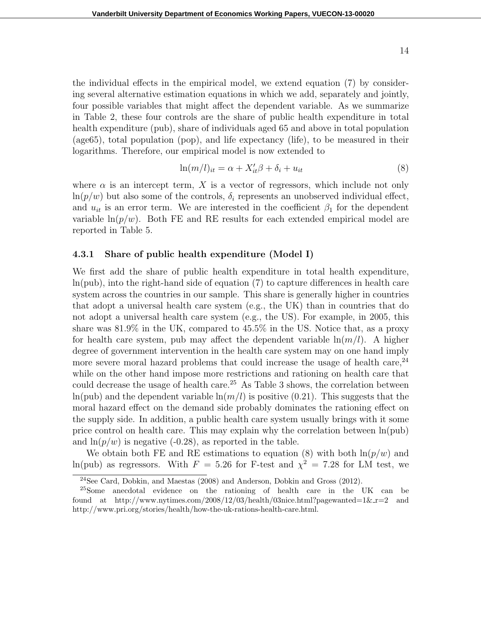the individual effects in the empirical model, we extend equation (7) by considering several alternative estimation equations in which we add, separately and jointly, four possible variables that might affect the dependent variable. As we summarize in Table 2, these four controls are the share of public health expenditure in total health expenditure (pub), share of individuals aged 65 and above in total population (age65), total population (pop), and life expectancy (life), to be measured in their logarithms. Therefore, our empirical model is now extended to

$$
\ln(m/l)_{it} = \alpha + X_{it}'\beta + \delta_i + u_{it} \tag{8}
$$

where  $\alpha$  is an intercept term,  $X$  is a vector of regressors, which include not only  $\ln(p/w)$  but also some of the controls,  $\delta_i$  represents an unobserved individual effect, and  $u_{it}$  is an error term. We are interested in the coefficient  $\beta_1$  for the dependent variable  $\ln(p/w)$ . Both FE and RE results for each extended empirical model are reported in Table 5.

#### **4.3.1 Share of public health expenditure (Model I)**

We first add the share of public health expenditure in total health expenditure, ln(pub), into the right-hand side of equation (7) to capture differences in health care system across the countries in our sample. This share is generally higher in countries that adopt a universal health care system (e.g., the UK) than in countries that do not adopt a universal health care system (e.g., the US). For example, in 2005, this share was 81.9% in the UK, compared to 45.5% in the US. Notice that, as a proxy for health care system, pub may affect the dependent variable  $\ln(m/l)$ . A higher degree of government intervention in the health care system may on one hand imply more severe moral hazard problems that could increase the usage of health care,  $24$ while on the other hand impose more restrictions and rationing on health care that could decrease the usage of health care.<sup>25</sup> As Table 3 shows, the correlation between  $ln(pub)$  and the dependent variable  $ln(m/l)$  is positive (0.21). This suggests that the moral hazard effect on the demand side probably dominates the rationing effect on the supply side. In addition, a public health care system usually brings with it some price control on health care. This may explain why the correlation between  $\ln(\text{pub})$ and  $\ln(p/w)$  is negative (-0.28), as reported in the table.

We obtain both FE and RE estimations to equation  $(8)$  with both  $\ln(p/w)$  and ln(pub) as regressors. With  $F = 5.26$  for F-test and  $\chi^2 = 7.28$  for LM test, we

 $^{24}$ See Card, Dobkin, and Maestas (2008) and Anderson, Dobkin and Gross (2012).

<sup>25</sup>Some anecdotal evidence on the rationing of health care in the UK can be found at http://www.nytimes.com/2008/12/03/health/03nice.html?pagewanted=1&\_r=2 and http://www.pri.org/stories/health/how-the-uk-rations-health-care.html.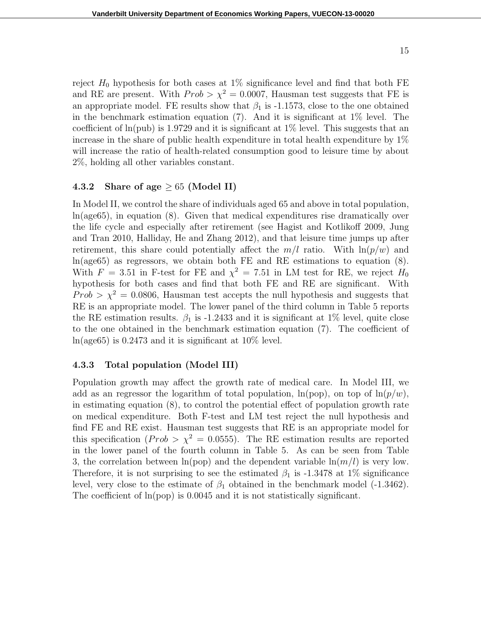reject  $H_0$  hypothesis for both cases at 1% significance level and find that both FE and RE are present. With  $Prob > \chi^2 = 0.0007$ , Hausman test suggests that FE is an appropriate model. FE results show that  $\beta_1$  is -1.1573, close to the one obtained in the benchmark estimation equation (7). And it is significant at  $1\%$  level. The coefficient of  $ln(pub)$  is 1.9729 and it is significant at 1% level. This suggests that an increase in the share of public health expenditure in total health expenditure by 1% will increase the ratio of health-related consumption good to leisure time by about 2%, holding all other variables constant.

#### **4.3.2 Share of age** *≥* 65 **(Model II)**

In Model II, we control the share of individuals aged 65 and above in total population, ln(age65), in equation (8). Given that medical expenditures rise dramatically over the life cycle and especially after retirement (see Hagist and Kotlikoff 2009, Jung and Tran 2010, Halliday, He and Zhang 2012), and that leisure time jumps up after retirement, this share could potentially affect the  $m/l$  ratio. With  $\ln(p/w)$  and ln(age65) as regressors, we obtain both FE and RE estimations to equation (8). With  $F = 3.51$  in F-test for FE and  $\chi^2 = 7.51$  in LM test for RE, we reject  $H_0$ hypothesis for both cases and find that both FE and RE are significant. With  $Prob > \chi^2 = 0.0806$ , Hausman test accepts the null hypothesis and suggests that RE is an appropriate model. The lower panel of the third column in Table 5 reports the RE estimation results.  $\beta_1$  is -1.2433 and it is significant at 1% level, quite close to the one obtained in the benchmark estimation equation (7). The coefficient of  $ln(age65)$  is 0.2473 and it is significant at 10\% level.

### **4.3.3 Total population (Model III)**

Population growth may affect the growth rate of medical care. In Model III, we add as an regressor the logarithm of total population,  $\ln(p \circ p)$ , on top of  $\ln(p/w)$ , in estimating equation (8), to control the potential effect of population growth rate on medical expenditure. Both F-test and LM test reject the null hypothesis and find FE and RE exist. Hausman test suggests that RE is an appropriate model for this specification (*Prob >*  $\chi^2 = 0.0555$ *).* The RE estimation results are reported in the lower panel of the fourth column in Table 5. As can be seen from Table 3, the correlation between  $\ln(pop)$  and the dependent variable  $\ln(m/l)$  is very low. Therefore, it is not surprising to see the estimated  $\beta_1$  is -1.3478 at 1\% significance level, very close to the estimate of  $\beta_1$  obtained in the benchmark model (-1.3462). The coefficient of ln(pop) is 0.0045 and it is not statistically significant.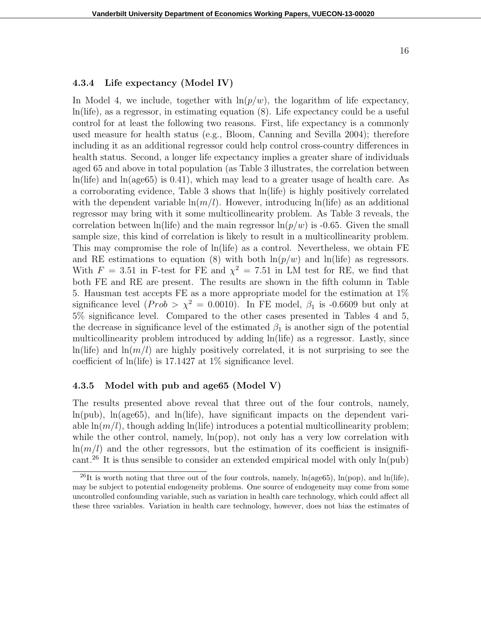#### **4.3.4 Life expectancy (Model IV)**

In Model 4, we include, together with  $\ln(p/w)$ , the logarithm of life expectancy, ln(life), as a regressor, in estimating equation (8). Life expectancy could be a useful control for at least the following two reasons. First, life expectancy is a commonly used measure for health status (e.g., Bloom, Canning and Sevilla 2004); therefore including it as an additional regressor could help control cross-country differences in health status. Second, a longer life expectancy implies a greater share of individuals aged 65 and above in total population (as Table 3 illustrates, the correlation between ln(life) and ln(age65) is 0.41), which may lead to a greater usage of health care. As a corroborating evidence, Table 3 shows that ln(life) is highly positively correlated with the dependent variable  $\ln(m/l)$ . However, introducing  $\ln(\text{life})$  as an additional regressor may bring with it some multicollinearity problem. As Table 3 reveals, the correlation between ln(life) and the main regressor  $\ln(p/w)$  is -0.65. Given the small sample size, this kind of correlation is likely to result in a multicollinearity problem. This may compromise the role of ln(life) as a control. Nevertheless, we obtain FE and RE estimations to equation (8) with both  $\ln(p/w)$  and  $\ln(\text{life})$  as regressors. With  $F = 3.51$  in F-test for FE and  $\chi^2 = 7.51$  in LM test for RE, we find that both FE and RE are present. The results are shown in the fifth column in Table 5. Hausman test accepts FE as a more appropriate model for the estimation at 1% significance level (*Prob >*  $\chi^2$  *=* 0.0010). In FE model,  $\beta_1$  is -0.6609 but only at 5% significance level. Compared to the other cases presented in Tables 4 and 5, the decrease in significance level of the estimated  $\beta_1$  is another sign of the potential multicollinearity problem introduced by adding ln(life) as a regressor. Lastly, since  $\ln(\text{life})$  and  $\ln(m/l)$  are highly positively correlated, it is not surprising to see the coefficient of ln(life) is 17.1427 at 1% significance level.

#### **4.3.5 Model with pub and age65 (Model V)**

The results presented above reveal that three out of the four controls, namely,  $ln(pub)$ ,  $ln(age65)$ , and  $ln(life)$ , have significant impacts on the dependent variable  $\ln(m/l)$ , though adding  $\ln(\text{life})$  introduces a potential multicollinearity problem; while the other control, namely,  $\ln(pop)$ , not only has a very low correlation with  $\ln(m/l)$  and the other regressors, but the estimation of its coefficient is insignificant.<sup>26</sup> It is thus sensible to consider an extended empirical model with only  $ln(pub)$ 

<sup>&</sup>lt;sup>26</sup>It is worth noting that three out of the four controls, namely,  $\ln(\text{age65})$ ,  $\ln(\text{pop})$ , and  $\ln(\text{life})$ , may be subject to potential endogeneity problems. One source of endogeneity may come from some uncontrolled confounding variable, such as variation in health care technology, which could affect all these three variables. Variation in health care technology, however, does not bias the estimates of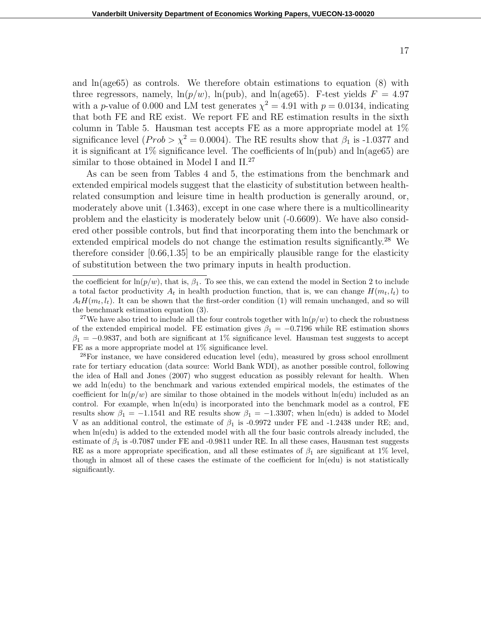and  $ln(age65)$  as controls. We therefore obtain estimations to equation  $(8)$  with three regressors, namely,  $\ln(p/w)$ ,  $\ln(pub)$ , and  $\ln(\text{age65})$ . F-test yields  $F = 4.97$ with a *p*-value of 0.000 and LM test generates  $\chi^2 = 4.91$  with  $p = 0.0134$ , indicating that both FE and RE exist. We report FE and RE estimation results in the sixth column in Table 5. Hausman test accepts FE as a more appropriate model at 1% significance level ( $Prob > \chi^2 = 0.0004$ ). The RE results show that  $\beta_1$  is -1.0377 and it is significant at  $1\%$  significance level. The coefficients of  $ln(pub)$  and  $ln(age65)$  are similar to those obtained in Model I and  $II^{27}$ .

As can be seen from Tables 4 and 5, the estimations from the benchmark and extended empirical models suggest that the elasticity of substitution between healthrelated consumption and leisure time in health production is generally around, or, moderately above unit (1.3463), except in one case where there is a multicollinearity problem and the elasticity is moderately below unit (-0.6609). We have also considered other possible controls, but find that incorporating them into the benchmark or extended empirical models do not change the estimation results significantly.<sup>28</sup> We therefore consider  $[0.66, 1.35]$  to be an empirically plausible range for the elasticity of substitution between the two primary inputs in health production.

17

the coefficient for  $\ln(p/w)$ , that is,  $\beta_1$ . To see this, we can extend the model in Section 2 to include a total factor productivity  $A_t$  in health production function, that is, we can change  $H(m_t, l_t)$  to  $A_t H(m_t, l_t)$ . It can be shown that the first-order condition (1) will remain unchanged, and so will the benchmark estimation equation (3).

<sup>&</sup>lt;sup>27</sup>We have also tried to include all the four controls together with  $\ln(p/w)$  to check the robustness of the extended empirical model. FE estimation gives  $\beta_1 = -0.7196$  while RE estimation shows  $\beta_1 = -0.9837$ , and both are significant at 1% significance level. Hausman test suggests to accept FE as a more appropriate model at  $1\%$  significance level.

 $^{28}$ For instance, we have considered education level (edu), measured by gross school enrollment rate for tertiary education (data source: World Bank WDI), as another possible control, following the idea of Hall and Jones (2007) who suggest education as possibly relevant for health. When we add ln(edu) to the benchmark and various extended empirical models, the estimates of the coefficient for  $\ln(p/w)$  are similar to those obtained in the models without  $\ln(\text{edu})$  included as an control. For example, when  $ln(edu)$  is incorporated into the benchmark model as a control, FE results show  $\beta_1 = -1.1541$  and RE results show  $\beta_1 = -1.3307$ ; when ln(edu) is added to Model V as an additional control, the estimate of *β*<sup>1</sup> is -0.9972 under FE and -1.2438 under RE; and, when  $ln($ edu) is added to the extended model with all the four basic controls already included, the estimate of  $\beta_1$  is -0.7087 under FE and -0.9811 under RE. In all these cases, Hausman test suggests RE as a more appropriate specification, and all these estimates of  $\beta_1$  are significant at 1% level, though in almost all of these cases the estimate of the coefficient for  $ln($ edu) is not statistically significantly.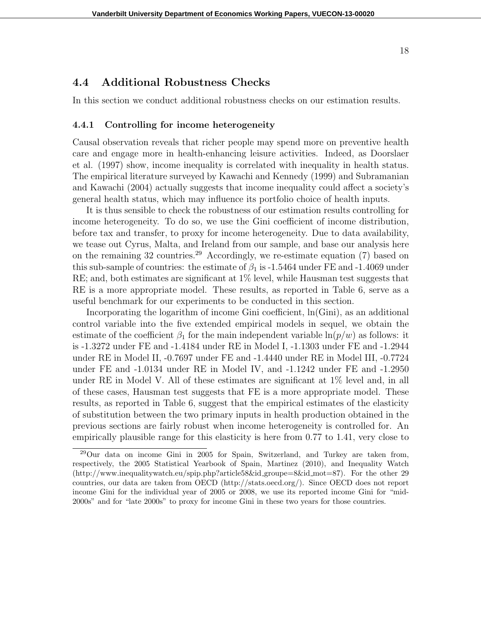## **4.4 Additional Robustness Checks**

In this section we conduct additional robustness checks on our estimation results.

#### **4.4.1 Controlling for income heterogeneity**

Causal observation reveals that richer people may spend more on preventive health care and engage more in health-enhancing leisure activities. Indeed, as Doorslaer et al. (1997) show, income inequality is correlated with inequality in health status. The empirical literature surveyed by Kawachi and Kennedy (1999) and Subramanian and Kawachi (2004) actually suggests that income inequality could affect a society's general health status, which may influence its portfolio choice of health inputs.

It is thus sensible to check the robustness of our estimation results controlling for income heterogeneity. To do so, we use the Gini coefficient of income distribution, before tax and transfer, to proxy for income heterogeneity. Due to data availability, we tease out Cyrus, Malta, and Ireland from our sample, and base our analysis here on the remaining  $32$  countries.<sup>29</sup> Accordingly, we re-estimate equation (7) based on this sub-sample of countries: the estimate of  $\beta_1$  is -1.5464 under FE and -1.4069 under RE; and, both estimates are significant at 1% level, while Hausman test suggests that RE is a more appropriate model. These results, as reported in Table 6, serve as a useful benchmark for our experiments to be conducted in this section.

Incorporating the logarithm of income Gini coefficient, ln(Gini), as an additional control variable into the five extended empirical models in sequel, we obtain the estimate of the coefficient  $\beta_1$  for the main independent variable  $\ln(p/w)$  as follows: it is -1.3272 under FE and -1.4184 under RE in Model I, -1.1303 under FE and -1.2944 under RE in Model II, -0.7697 under FE and -1.4440 under RE in Model III, -0.7724 under FE and -1.0134 under RE in Model IV, and -1.1242 under FE and -1.2950 under RE in Model V. All of these estimates are significant at 1% level and, in all of these cases, Hausman test suggests that FE is a more appropriate model. These results, as reported in Table 6, suggest that the empirical estimates of the elasticity of substitution between the two primary inputs in health production obtained in the previous sections are fairly robust when income heterogeneity is controlled for. An empirically plausible range for this elasticity is here from 0.77 to 1.41, very close to

<sup>29</sup>Our data on income Gini in 2005 for Spain, Switzerland, and Turkey are taken from, respectively, the 2005 Statistical Yearbook of Spain, Martinez (2010), and Inequality Watch (http://www.inequalitywatch.eu/spip.php?article58&id groupe=8&id mot=87). For the other 29 countries, our data are taken from OECD (http://stats.oecd.org/). Since OECD does not report income Gini for the individual year of 2005 or 2008, we use its reported income Gini for "mid-2000s" and for "late 2000s" to proxy for income Gini in these two years for those countries.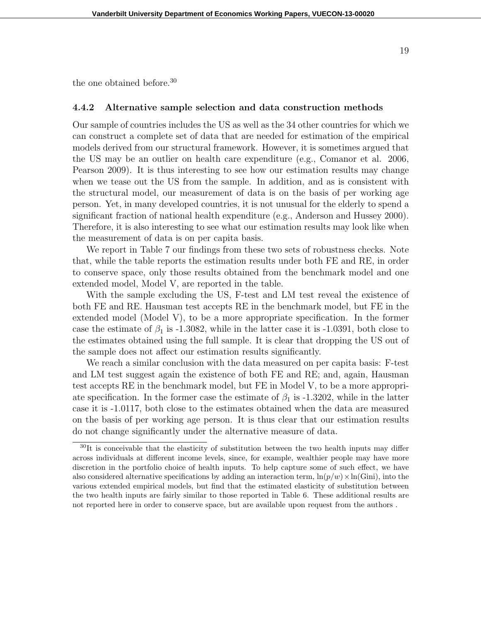the one obtained before.<sup>30</sup>

#### **4.4.2 Alternative sample selection and data construction methods**

Our sample of countries includes the US as well as the 34 other countries for which we can construct a complete set of data that are needed for estimation of the empirical models derived from our structural framework. However, it is sometimes argued that the US may be an outlier on health care expenditure (e.g., Comanor et al. 2006, Pearson 2009). It is thus interesting to see how our estimation results may change when we tease out the US from the sample. In addition, and as is consistent with the structural model, our measurement of data is on the basis of per working age person. Yet, in many developed countries, it is not unusual for the elderly to spend a significant fraction of national health expenditure (e.g., Anderson and Hussey 2000). Therefore, it is also interesting to see what our estimation results may look like when the measurement of data is on per capita basis.

We report in Table 7 our findings from these two sets of robustness checks. Note that, while the table reports the estimation results under both FE and RE, in order to conserve space, only those results obtained from the benchmark model and one extended model, Model V, are reported in the table.

With the sample excluding the US, F-test and LM test reveal the existence of both FE and RE. Hausman test accepts RE in the benchmark model, but FE in the extended model (Model V), to be a more appropriate specification. In the former case the estimate of  $\beta_1$  is -1.3082, while in the latter case it is -1.0391, both close to the estimates obtained using the full sample. It is clear that dropping the US out of the sample does not affect our estimation results significantly.

We reach a similar conclusion with the data measured on per capita basis: F-test and LM test suggest again the existence of both FE and RE; and, again, Hausman test accepts RE in the benchmark model, but FE in Model V, to be a more appropriate specification. In the former case the estimate of  $\beta_1$  is -1.3202, while in the latter case it is -1.0117, both close to the estimates obtained when the data are measured on the basis of per working age person. It is thus clear that our estimation results do not change significantly under the alternative measure of data.

 $30$ It is conceivable that the elasticity of substitution between the two health inputs may differ across individuals at different income levels, since, for example, wealthier people may have more discretion in the portfolio choice of health inputs. To help capture some of such effect, we have also considered alternative specifications by adding an interaction term,  $\ln(p/w) \times \ln(Gini)$ , into the various extended empirical models, but find that the estimated elasticity of substitution between the two health inputs are fairly similar to those reported in Table 6. These additional results are not reported here in order to conserve space, but are available upon request from the authors .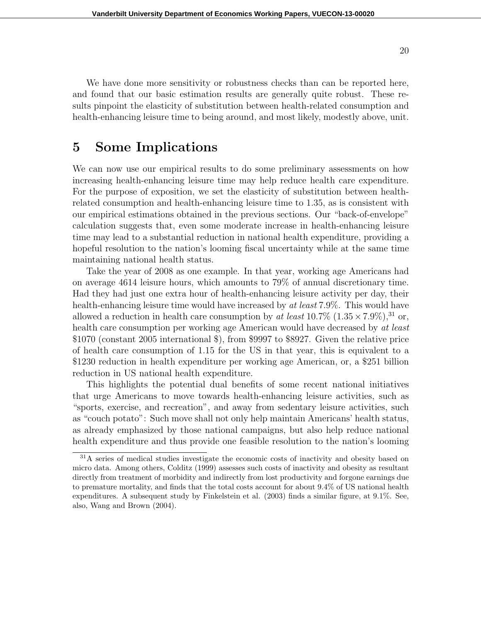We have done more sensitivity or robustness checks than can be reported here, and found that our basic estimation results are generally quite robust. These results pinpoint the elasticity of substitution between health-related consumption and health-enhancing leisure time to being around, and most likely, modestly above, unit.

## **5 Some Implications**

We can now use our empirical results to do some preliminary assessments on how increasing health-enhancing leisure time may help reduce health care expenditure. For the purpose of exposition, we set the elasticity of substitution between healthrelated consumption and health-enhancing leisure time to 1.35, as is consistent with our empirical estimations obtained in the previous sections. Our "back-of-envelope" calculation suggests that, even some moderate increase in health-enhancing leisure time may lead to a substantial reduction in national health expenditure, providing a hopeful resolution to the nation's looming fiscal uncertainty while at the same time maintaining national health status.

Take the year of 2008 as one example. In that year, working age Americans had on average 4614 leisure hours, which amounts to 79% of annual discretionary time. Had they had just one extra hour of health-enhancing leisure activity per day, their health-enhancing leisure time would have increased by *at least* 7.9%. This would have allowed a reduction in health care consumption by *at least*  $10.7\%$   $(1.35 \times 7.9\%)$ ,<sup>31</sup> or, health care consumption per working age American would have decreased by *at least* \$1070 (constant 2005 international \$), from \$9997 to \$8927. Given the relative price of health care consumption of 1*.*15 for the US in that year, this is equivalent to a \$1230 reduction in health expenditure per working age American, or, a \$251 billion reduction in US national health expenditure.

This highlights the potential dual benefits of some recent national initiatives that urge Americans to move towards health-enhancing leisure activities, such as "sports, exercise, and recreation", and away from sedentary leisure activities, such as "couch potato": Such move shall not only help maintain Americans' health status, as already emphasized by those national campaigns, but also help reduce national health expenditure and thus provide one feasible resolution to the nation's looming

 $31A$  series of medical studies investigate the economic costs of inactivity and obesity based on micro data. Among others, Colditz (1999) assesses such costs of inactivity and obesity as resultant directly from treatment of morbidity and indirectly from lost productivity and forgone earnings due to premature mortality, and finds that the total costs account for about 9.4% of US national health expenditures. A subsequent study by Finkelstein et al. (2003) finds a similar figure, at 9.1%. See, also, Wang and Brown (2004).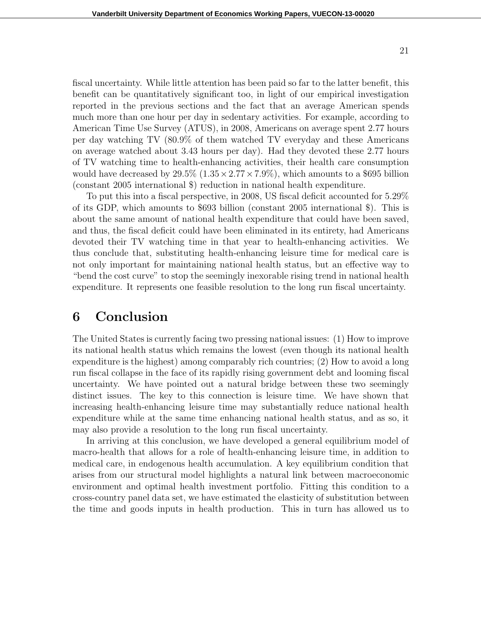fiscal uncertainty. While little attention has been paid so far to the latter benefit, this benefit can be quantitatively significant too, in light of our empirical investigation reported in the previous sections and the fact that an average American spends much more than one hour per day in sedentary activities. For example, according to American Time Use Survey (ATUS), in 2008, Americans on average spent 2.77 hours per day watching TV (80.9% of them watched TV everyday and these Americans on average watched about 3.43 hours per day). Had they devoted these 2.77 hours of TV watching time to health-enhancing activities, their health care consumption would have decreased by  $29.5\%$  ( $1.35 \times 2.77 \times 7.9\%$ ), which amounts to a \$695 billion (constant 2005 international \$) reduction in national health expenditure.

To put this into a fiscal perspective, in 2008, US fiscal deficit accounted for 5.29% of its GDP, which amounts to \$693 billion (constant 2005 international \$). This is about the same amount of national health expenditure that could have been saved, and thus, the fiscal deficit could have been eliminated in its entirety, had Americans devoted their TV watching time in that year to health-enhancing activities. We thus conclude that, substituting health-enhancing leisure time for medical care is not only important for maintaining national health status, but an effective way to "bend the cost curve" to stop the seemingly inexorable rising trend in national health expenditure. It represents one feasible resolution to the long run fiscal uncertainty.

## **6 Conclusion**

The United States is currently facing two pressing national issues: (1) How to improve its national health status which remains the lowest (even though its national health expenditure is the highest) among comparably rich countries; (2) How to avoid a long run fiscal collapse in the face of its rapidly rising government debt and looming fiscal uncertainty. We have pointed out a natural bridge between these two seemingly distinct issues. The key to this connection is leisure time. We have shown that increasing health-enhancing leisure time may substantially reduce national health expenditure while at the same time enhancing national health status, and as so, it may also provide a resolution to the long run fiscal uncertainty.

In arriving at this conclusion, we have developed a general equilibrium model of macro-health that allows for a role of health-enhancing leisure time, in addition to medical care, in endogenous health accumulation. A key equilibrium condition that arises from our structural model highlights a natural link between macroeconomic environment and optimal health investment portfolio. Fitting this condition to a cross-country panel data set, we have estimated the elasticity of substitution between the time and goods inputs in health production. This in turn has allowed us to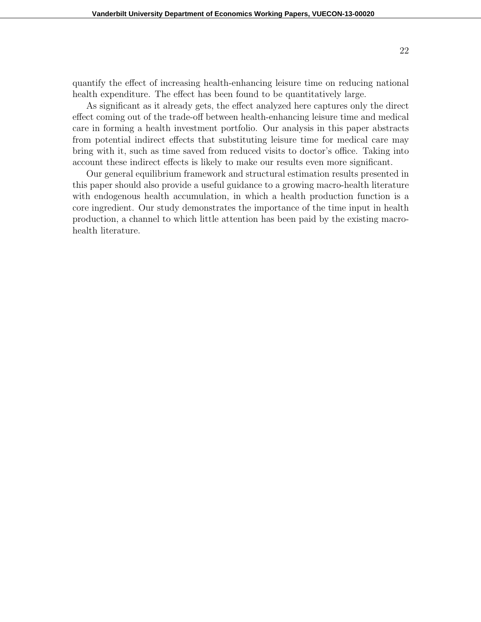quantify the effect of increasing health-enhancing leisure time on reducing national health expenditure. The effect has been found to be quantitatively large.

As significant as it already gets, the effect analyzed here captures only the direct effect coming out of the trade-off between health-enhancing leisure time and medical care in forming a health investment portfolio. Our analysis in this paper abstracts from potential indirect effects that substituting leisure time for medical care may bring with it, such as time saved from reduced visits to doctor's office. Taking into account these indirect effects is likely to make our results even more significant.

Our general equilibrium framework and structural estimation results presented in this paper should also provide a useful guidance to a growing macro-health literature with endogenous health accumulation, in which a health production function is a core ingredient. Our study demonstrates the importance of the time input in health production, a channel to which little attention has been paid by the existing macrohealth literature.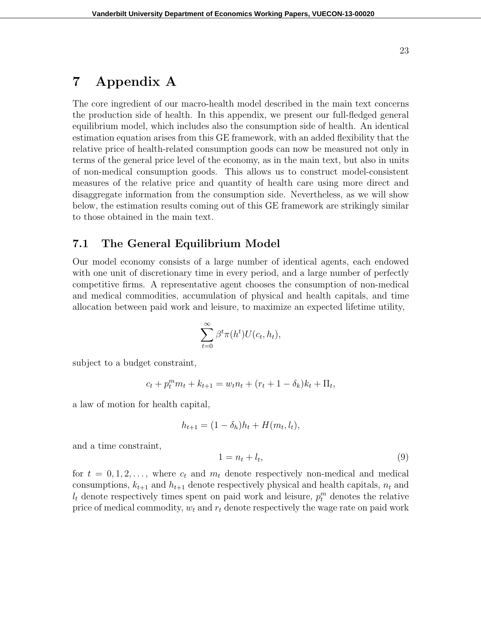## **7 Appendix A**

The core ingredient of our macro-health model described in the main text concerns the production side of health. In this appendix, we present our full-fledged general equilibrium model, which includes also the consumption side of health. An identical estimation equation arises from this GE framework, with an added flexibility that the relative price of health-related consumption goods can now be measured not only in terms of the general price level of the economy, as in the main text, but also in units of non-medical consumption goods. This allows us to construct model-consistent measures of the relative price and quantity of health care using more direct and disaggregate information from the consumption side. Nevertheless, as we will show below, the estimation results coming out of this GE framework are strikingly similar to those obtained in the main text.

### **7.1 The General Equilibrium Model**

Our model economy consists of a large number of identical agents, each endowed with one unit of discretionary time in every period, and a large number of perfectly competitive firms. A representative agent chooses the consumption of non-medical and medical commodities, accumulation of physical and health capitals, and time allocation between paid work and leisure, to maximize an expected lifetime utility,

$$
\sum_{t=0}^{\infty} \beta^t \pi(h^t) U(c_t, h_t),
$$

subject to a budget constraint,

$$
c_t + p_t^m m_t + k_{t+1} = w_t n_t + (r_t + 1 - \delta_k) k_t + \Pi_t,
$$

a law of motion for health capital,

$$
h_{t+1} = (1 - \delta_h)h_t + H(m_t, l_t),
$$

and a time constraint,

$$
1 = n_t + l_t,\tag{9}
$$

for  $t = 0, 1, 2, \ldots$ , where  $c_t$  and  $m_t$  denote respectively non-medical and medical consumptions,  $k_{t+1}$  and  $h_{t+1}$  denote respectively physical and health capitals,  $n_t$  and  $l_t$  denote respectively times spent on paid work and leisure,  $p_t^m$  denotes the relative price of medical commodity,  $w_t$  and  $r_t$  denote respectively the wage rate on paid work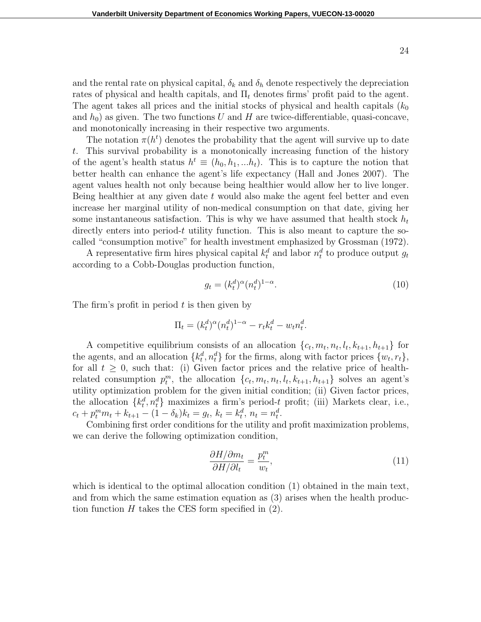and the rental rate on physical capital,  $\delta_k$  and  $\delta_h$  denote respectively the depreciation rates of physical and health capitals, and  $\Pi_t$  denotes firms' profit paid to the agent. The agent takes all prices and the initial stocks of physical and health capitals (*k*<sup>0</sup> and  $h_0$ ) as given. The two functions *U* and *H* are twice-differentiable, quasi-concave, and monotonically increasing in their respective two arguments.

The notation  $\pi(h^t)$  denotes the probability that the agent will survive up to date *t*. This survival probability is a monotonically increasing function of the history of the agent's health status  $h^t \equiv (h_0, h_1, ... h_t)$ . This is to capture the notion that better health can enhance the agent's life expectancy (Hall and Jones 2007). The agent values health not only because being healthier would allow her to live longer. Being healthier at any given date *t* would also make the agent feel better and even increase her marginal utility of non-medical consumption on that date, giving her some instantaneous satisfaction. This is why we have assumed that health stock *h<sup>t</sup>* directly enters into period-*t* utility function. This is also meant to capture the socalled "consumption motive" for health investment emphasized by Grossman (1972).

A representative firm hires physical capital  $k_t^d$  and labor  $n_t^d$  to produce output  $g_t$ according to a Cobb-Douglas production function,

$$
g_t = (k_t^d)^\alpha (n_t^d)^{1-\alpha}.
$$
\n<sup>(10)</sup>

The firm's profit in period *t* is then given by

$$
\Pi_t = (k_t^d)^\alpha (n_t^d)^{1-\alpha} - r_t k_t^d - w_t n_t^d.
$$

A competitive equilibrium consists of an allocation  $\{c_t, m_t, n_t, l_t, k_{t+1}, h_{t+1}\}\$ for the agents, and an allocation  ${k_t^d, n_t^d}$  for the firms, along with factor prices  ${w_t, r_t}$ , for all  $t \geq 0$ , such that: (i) Given factor prices and the relative price of healthrelated consumption  $p_t^m$ , the allocation  $\{c_t, m_t, n_t, l_t, k_{t+1}, h_{t+1}\}$  solves an agent's utility optimization problem for the given initial condition; (ii) Given factor prices, the allocation  $\{k_t^d, n_t^d\}$  maximizes a firm's period-*t* profit; (iii) Markets clear, i.e.,  $c_t + p_t^m m_t + k_{t+1} - (1 - \delta_k) k_t = g_t, k_t = k_t^d, n_t = n_t^d.$ 

Combining first order conditions for the utility and profit maximization problems, we can derive the following optimization condition,

$$
\frac{\partial H/\partial m_t}{\partial H/\partial l_t} = \frac{p_t^m}{w_t},\tag{11}
$$

which is identical to the optimal allocation condition (1) obtained in the main text, and from which the same estimation equation as (3) arises when the health production function  $H$  takes the CES form specified in  $(2)$ .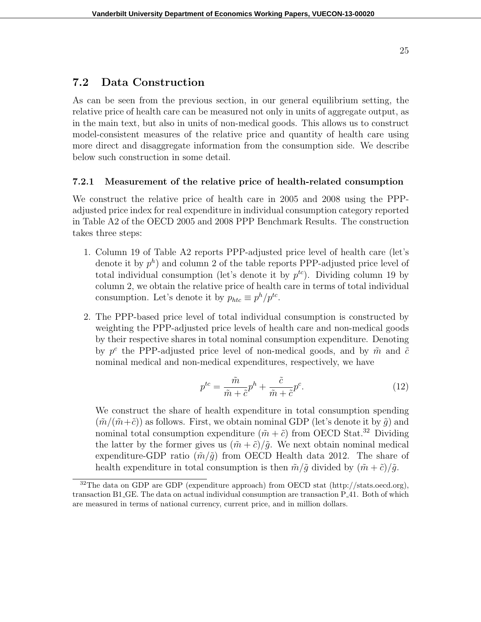## **7.2 Data Construction**

As can be seen from the previous section, in our general equilibrium setting, the relative price of health care can be measured not only in units of aggregate output, as in the main text, but also in units of non-medical goods. This allows us to construct model-consistent measures of the relative price and quantity of health care using more direct and disaggregate information from the consumption side. We describe below such construction in some detail.

#### **7.2.1 Measurement of the relative price of health-related consumption**

We construct the relative price of health care in 2005 and 2008 using the PPPadjusted price index for real expenditure in individual consumption category reported in Table A2 of the OECD 2005 and 2008 PPP Benchmark Results. The construction takes three steps:

- 1. Column 19 of Table A2 reports PPP-adjusted price level of health care (let's denote it by  $p^h$ ) and column 2 of the table reports PPP-adjusted price level of total individual consumption (let's denote it by  $p^{tc}$ ). Dividing column 19 by column 2, we obtain the relative price of health care in terms of total individual consumption. Let's denote it by  $p_{htc} \equiv p^h/p^{tc}$ .
- 2. The PPP-based price level of total individual consumption is constructed by weighting the PPP-adjusted price levels of health care and non-medical goods by their respective shares in total nominal consumption expenditure. Denoting by  $p^c$  the PPP-adjusted price level of non-medical goods, and by  $\tilde{m}$  and  $\tilde{c}$ nominal medical and non-medical expenditures, respectively, we have

$$
p^{tc} = \frac{\tilde{m}}{\tilde{m} + \tilde{c}} p^h + \frac{\tilde{c}}{\tilde{m} + \tilde{c}} p^c.
$$
 (12)

We construct the share of health expenditure in total consumption spending  $(\tilde{m}/(\tilde{m}+\tilde{c}))$  as follows. First, we obtain nominal GDP (let's denote it by  $\tilde{q}$ ) and nominal total consumption expenditure  $(\tilde{m} + \tilde{c})$  from OECD Stat.<sup>32</sup> Dividing the latter by the former gives us  $(\tilde{m} + \tilde{c})/\tilde{g}$ . We next obtain nominal medical expenditure-GDP ratio  $(\tilde{m}/\tilde{g})$  from OECD Health data 2012. The share of health expenditure in total consumption is then  $\tilde{m}/\tilde{q}$  divided by  $(\tilde{m} + \tilde{c})/\tilde{q}$ .

<sup>&</sup>lt;sup>32</sup>The data on GDP are GDP (expenditure approach) from OECD stat (http://stats.oecd.org), transaction B1 GE. The data on actual individual consumption are transaction P 41. Both of which are measured in terms of national currency, current price, and in million dollars.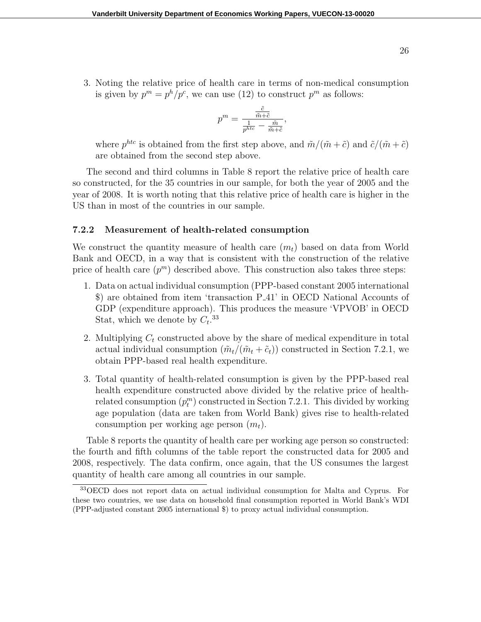3. Noting the relative price of health care in terms of non-medical consumption is given by  $p^m = p^h/p^c$ , we can use (12) to construct  $p^m$  as follows:

$$
p^m = \frac{\frac{\tilde{c}}{\tilde{m}+\tilde{c}}}{\frac{1}{p^{htc}} - \frac{\tilde{m}}{\tilde{m}+\tilde{c}}},
$$

where  $p^{htc}$  is obtained from the first step above, and  $\tilde{m}/(\tilde{m} + \tilde{c})$  and  $\tilde{c}/(\tilde{m} + \tilde{c})$ are obtained from the second step above.

The second and third columns in Table 8 report the relative price of health care so constructed, for the 35 countries in our sample, for both the year of 2005 and the year of 2008. It is worth noting that this relative price of health care is higher in the US than in most of the countries in our sample.

#### **7.2.2 Measurement of health-related consumption**

We construct the quantity measure of health care  $(m_t)$  based on data from World Bank and OECD, in a way that is consistent with the construction of the relative price of health care  $(p^m)$  described above. This construction also takes three steps:

- 1. Data on actual individual consumption (PPP-based constant 2005 international \$) are obtained from item 'transaction P 41' in OECD National Accounts of GDP (expenditure approach). This produces the measure 'VPVOB' in OECD Stat, which we denote by  $C_t$ .<sup>33</sup>
- 2. Multiplying *C<sup>t</sup>* constructed above by the share of medical expenditure in total actual individual consumption  $(\tilde{m}_t/(\tilde{m}_t + \tilde{c}_t))$  constructed in Section 7.2.1, we obtain PPP-based real health expenditure.
- 3. Total quantity of health-related consumption is given by the PPP-based real health expenditure constructed above divided by the relative price of healthrelated consumption  $(p_t^m)$  constructed in Section 7.2.1. This divided by working age population (data are taken from World Bank) gives rise to health-related consumption per working age person (*mt*).

Table 8 reports the quantity of health care per working age person so constructed: the fourth and fifth columns of the table report the constructed data for 2005 and 2008, respectively. The data confirm, once again, that the US consumes the largest quantity of health care among all countries in our sample.

<sup>33</sup>OECD does not report data on actual individual consumption for Malta and Cyprus. For these two countries, we use data on household final consumption reported in World Bank's WDI (PPP-adjusted constant 2005 international \$) to proxy actual individual consumption.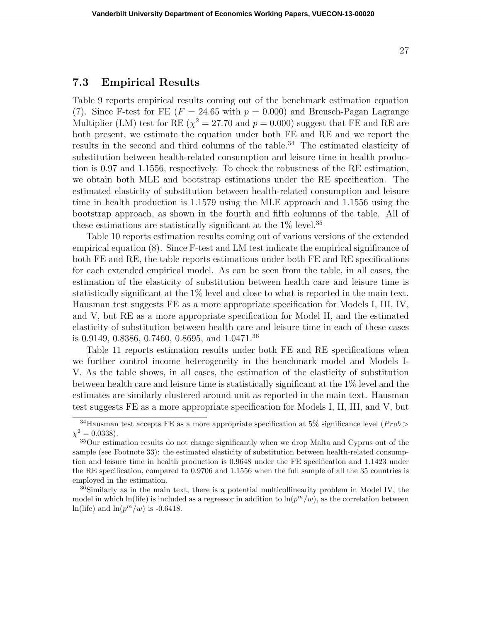### **7.3 Empirical Results**

Table 9 reports empirical results coming out of the benchmark estimation equation (7). Since F-test for FE ( $F = 24.65$  with  $p = 0.000$ ) and Breusch-Pagan Lagrange Multiplier (LM) test for RE ( $\chi^2 = 27.70$  and  $p = 0.000$ ) suggest that FE and RE are both present, we estimate the equation under both FE and RE and we report the results in the second and third columns of the table.<sup>34</sup> The estimated elasticity of substitution between health-related consumption and leisure time in health production is 0.97 and 1.1556, respectively. To check the robustness of the RE estimation, we obtain both MLE and bootstrap estimations under the RE specification. The estimated elasticity of substitution between health-related consumption and leisure time in health production is 1.1579 using the MLE approach and 1.1556 using the bootstrap approach, as shown in the fourth and fifth columns of the table. All of these estimations are statistically significant at the  $1\%$  level.<sup>35</sup>

Table 10 reports estimation results coming out of various versions of the extended empirical equation (8). Since F-test and LM test indicate the empirical significance of both FE and RE, the table reports estimations under both FE and RE specifications for each extended empirical model. As can be seen from the table, in all cases, the estimation of the elasticity of substitution between health care and leisure time is statistically significant at the 1% level and close to what is reported in the main text. Hausman test suggests FE as a more appropriate specification for Models I, III, IV, and V, but RE as a more appropriate specification for Model II, and the estimated elasticity of substitution between health care and leisure time in each of these cases is 0.9149, 0.8386, 0.7460, 0.8695, and 1.0471.<sup>36</sup>

Table 11 reports estimation results under both FE and RE specifications when we further control income heterogeneity in the benchmark model and Models I-V. As the table shows, in all cases, the estimation of the elasticity of substitution between health care and leisure time is statistically significant at the 1% level and the estimates are similarly clustered around unit as reported in the main text. Hausman test suggests FE as a more appropriate specification for Models I, II, III, and V, but

<sup>&</sup>lt;sup>34</sup>Hausman test accepts FE as a more appropriate specification at 5% significance level ( $Prob$ )  $\chi^2 = 0.0338$ ).

<sup>35</sup>Our estimation results do not change significantly when we drop Malta and Cyprus out of the sample (see Footnote 33): the estimated elasticity of substitution between health-related consumption and leisure time in health production is 0.9648 under the FE specification and 1.1423 under the RE specification, compared to 0.9706 and 1.1556 when the full sample of all the 35 countries is employed in the estimation.

<sup>&</sup>lt;sup>36</sup>Similarly as in the main text, there is a potential multicollinearity problem in Model IV, the model in which ln(life) is included as a regressor in addition to  $\ln(p^m/w)$ , as the correlation between ln(life) and  $\ln(p^m/w)$  is -0.6418.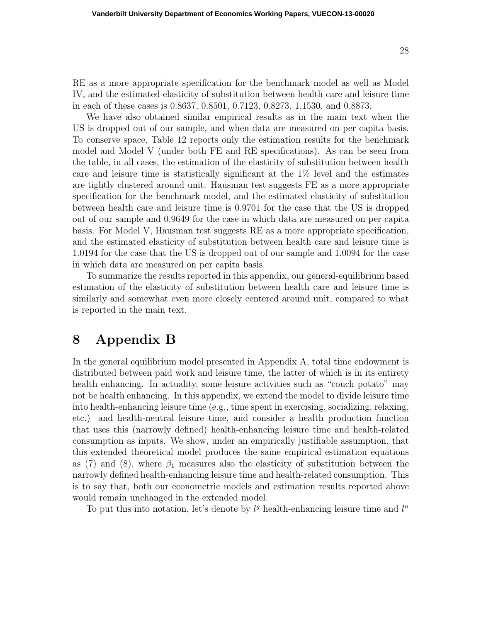RE as a more appropriate specification for the benchmark model as well as Model IV, and the estimated elasticity of substitution between health care and leisure time in each of these cases is 0.8637, 0.8501, 0.7123, 0.8273, 1.1530, and 0.8873.

We have also obtained similar empirical results as in the main text when the US is dropped out of our sample, and when data are measured on per capita basis. To conserve space, Table 12 reports only the estimation results for the benchmark model and Model V (under both FE and RE specifications). As can be seen from the table, in all cases, the estimation of the elasticity of substitution between health care and leisure time is statistically significant at the 1% level and the estimates are tightly clustered around unit. Hausman test suggests FE as a more appropriate specification for the benchmark model, and the estimated elasticity of substitution between health care and leisure time is 0.9701 for the case that the US is dropped out of our sample and 0.9649 for the case in which data are measured on per capita basis. For Model V, Hausman test suggests RE as a more appropriate specification, and the estimated elasticity of substitution between health care and leisure time is 1.0194 for the case that the US is dropped out of our sample and 1.0094 for the case in which data are measured on per capita basis.

To summarize the results reported in this appendix, our general-equilibrium based estimation of the elasticity of substitution between health care and leisure time is similarly and somewhat even more closely centered around unit, compared to what is reported in the main text.

## **8 Appendix B**

In the general equilibrium model presented in Appendix A, total time endowment is distributed between paid work and leisure time, the latter of which is in its entirety health enhancing. In actuality, some leisure activities such as "couch potato" may not be health enhancing. In this appendix, we extend the model to divide leisure time into health-enhancing leisure time (e.g., time spent in exercising, socializing, relaxing, etc.) and health-neutral leisure time, and consider a health production function that uses this (narrowly defined) health-enhancing leisure time and health-related consumption as inputs. We show, under an empirically justifiable assumption, that this extended theoretical model produces the same empirical estimation equations as (7) and (8), where  $\beta_1$  measures also the elasticity of substitution between the narrowly defined health-enhancing leisure time and health-related consumption. This is to say that, both our econometric models and estimation results reported above would remain unchanged in the extended model.

To put this into notation, let's denote by  $l<sup>g</sup>$  health-enhancing leisure time and  $l<sup>n</sup>$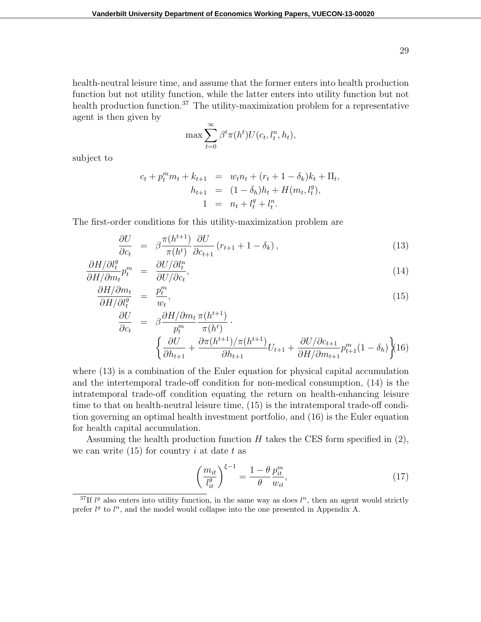health-neutral leisure time, and assume that the former enters into health production function but not utility function, while the latter enters into utility function but not health production function.<sup>37</sup> The utility-maximization problem for a representative agent is then given by

$$
\max \sum_{t=0}^{\infty} \beta^t \pi(h^t) U(c_t, l_t^n, h_t),
$$

subject to

$$
c_t + p_t^m m_t + k_{t+1} = w_t n_t + (r_t + 1 - \delta_k) k_t + \Pi_t,
$$
  
\n
$$
h_{t+1} = (1 - \delta_h) h_t + H(m_t, l_t^g),
$$
  
\n
$$
1 = n_t + l_t^g + l_t^n.
$$

The first-order conditions for this utility-maximization problem are

$$
\frac{\partial U}{\partial c_t} = \beta \frac{\pi (h^{t+1})}{\pi (h^t)} \frac{\partial U}{\partial c_{t+1}} \left( r_{t+1} + 1 - \delta_k \right), \tag{13}
$$

$$
\frac{\partial H/\partial l_t^g}{\partial H/\partial m_t} p_t^m = \frac{\partial U/\partial l_t^n}{\partial U/\partial c_t},\tag{14}
$$

$$
\frac{\partial H/\partial m_t}{\partial H/\partial l_t^g} = \frac{p_t^m}{w_t},\tag{15}
$$

$$
\frac{\partial U}{\partial c_t} = \beta \frac{\partial H/\partial m_t}{p_t^m} \frac{\pi(h^{t+1})}{\pi(h^t)} \cdot \left\{ \frac{\partial U}{\partial h_{t+1}} + \frac{\partial \pi(h^{t+1})}{\partial h_{t+1}} \gamma \pi(h^{t+1}) U_{t+1} + \frac{\partial U/\partial c_{t+1}}{\partial H/\partial m_{t+1}} p_{t+1}^m (1 - \delta_h) \right\} (16)
$$

where (13) is a combination of the Euler equation for physical capital accumulation and the intertemporal trade-off condition for non-medical consumption, (14) is the intratemporal trade-off condition equating the return on health-enhancing leisure time to that on health-neutral leisure time, (15) is the intratemporal trade-off condition governing an optimal health investment portfolio, and (16) is the Euler equation for health capital accumulation.

Assuming the health production function *H* takes the CES form specified in (2), we can write (15) for country *i* at date *t* as

$$
\left(\frac{m_{it}}{l_{it}^g}\right)^{\xi-1} = \frac{1-\theta}{\theta} \frac{p_{it}^m}{w_{it}},\tag{17}
$$

<sup>&</sup>lt;sup>37</sup>If  $l<sup>g</sup>$  also enters into utility function, in the same way as does  $l<sup>n</sup>$ , then an agent would strictly prefer  $l<sup>g</sup>$  to  $l<sup>n</sup>$ , and the model would collapse into the one presented in Appendix A.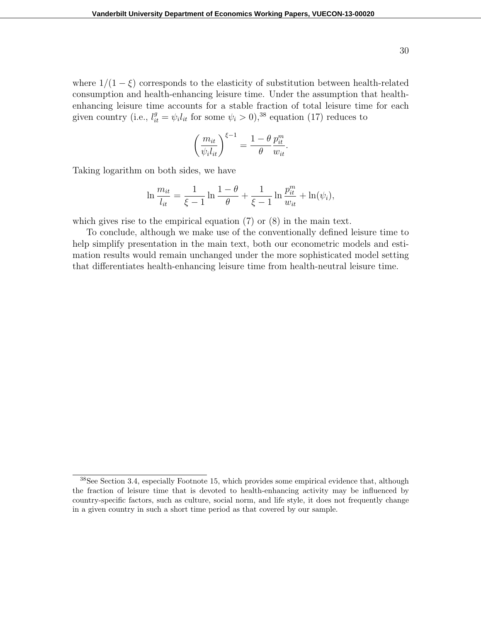where  $1/(1 - \xi)$  corresponds to the elasticity of substitution between health-related consumption and health-enhancing leisure time. Under the assumption that healthenhancing leisure time accounts for a stable fraction of total leisure time for each given country (i.e.,  $l_{it}^{g} = \psi_i l_{it}$  for some  $\psi_i > 0$ ),<sup>38</sup> equation (17) reduces to

$$
\left(\frac{m_{it}}{\psi_i l_{it}}\right)^{\xi-1} = \frac{1-\theta}{\theta} \frac{p_{it}^m}{w_{it}}
$$

*.*

Taking logarithm on both sides, we have

$$
\ln \frac{m_{it}}{l_{it}} = \frac{1}{\xi - 1} \ln \frac{1 - \theta}{\theta} + \frac{1}{\xi - 1} \ln \frac{p_{it}^m}{w_{it}} + \ln(\psi_i),
$$

which gives rise to the empirical equation (7) or (8) in the main text.

To conclude, although we make use of the conventionally defined leisure time to help simplify presentation in the main text, both our econometric models and estimation results would remain unchanged under the more sophisticated model setting that differentiates health-enhancing leisure time from health-neutral leisure time.

<sup>38</sup>See Section 3.4, especially Footnote 15, which provides some empirical evidence that, although the fraction of leisure time that is devoted to health-enhancing activity may be influenced by country-specific factors, such as culture, social norm, and life style, it does not frequently change in a given country in such a short time period as that covered by our sample.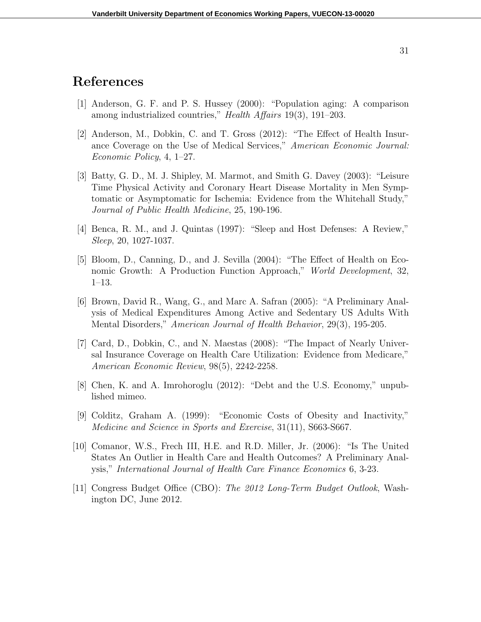## **References**

- [1] Anderson, G. F. and P. S. Hussey (2000): "Population aging: A comparison among industrialized countries," *Health Affairs* 19(3), 191–203.
- [2] Anderson, M., Dobkin, C. and T. Gross (2012): "The Effect of Health Insurance Coverage on the Use of Medical Services," *American Economic Journal: Economic Policy*, 4, 1–27.
- [3] Batty, G. D., M. J. Shipley, M. Marmot, and Smith G. Davey (2003): "Leisure Time Physical Activity and Coronary Heart Disease Mortality in Men Symptomatic or Asymptomatic for Ischemia: Evidence from the Whitehall Study," *Journal of Public Health Medicine*, 25, 190-196.
- [4] Benca, R. M., and J. Quintas (1997): "Sleep and Host Defenses: A Review," *Sleep*, 20, 1027-1037.
- [5] Bloom, D., Canning, D., and J. Sevilla (2004): "The Effect of Health on Economic Growth: A Production Function Approach," *World Development*, 32, 1–13.
- [6] Brown, David R., Wang, G., and Marc A. Safran (2005): "A Preliminary Analysis of Medical Expenditures Among Active and Sedentary US Adults With Mental Disorders," *American Journal of Health Behavior*, 29(3), 195-205.
- [7] Card, D., Dobkin, C., and N. Maestas (2008): "The Impact of Nearly Universal Insurance Coverage on Health Care Utilization: Evidence from Medicare," *American Economic Review*, 98(5), 2242-2258.
- [8] Chen, K. and A. Imrohoroglu (2012): "Debt and the U.S. Economy," unpublished mimeo.
- [9] Colditz, Graham A. (1999): "Economic Costs of Obesity and Inactivity," *Medicine and Science in Sports and Exercise*, 31(11), S663-S667.
- [10] Comanor, W.S., Frech III, H.E. and R.D. Miller, Jr. (2006): "Is The United States An Outlier in Health Care and Health Outcomes? A Preliminary Analysis," *International Journal of Health Care Finance Economics* 6, 3-23.
- [11] Congress Budget Office (CBO): *The 2012 Long-Term Budget Outlook*, Washington DC, June 2012.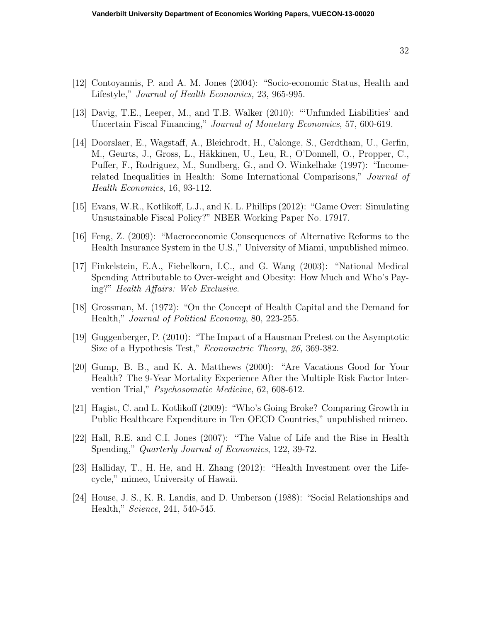- [12] Contoyannis, P. and A. M. Jones (2004): "Socio-economic Status, Health and Lifestyle," *Journal of Health Economics,* 23, 965-995.
- [13] Davig, T.E., Leeper, M., and T.B. Walker (2010): "'Unfunded Liabilities' and Uncertain Fiscal Financing," *Journal of Monetary Economics*, 57, 600-619.
- [14] Doorslaer, E., Wagstaff, A., Bleichrodt, H., Calonge, S., Gerdtham, U., Gerfin, M., Geurts, J., Gross, L., Häkkinen, U., Leu, R., O'Donnell, O., Propper, C., Puffer, F., Rodriguez, M., Sundberg, G., and O. Winkelhake (1997): "Incomerelated Inequalities in Health: Some International Comparisons," *Journal of Health Economics*, 16, 93-112.
- [15] Evans, W.R., Kotlikoff, L.J., and K. L. Phillips (2012): "Game Over: Simulating Unsustainable Fiscal Policy?" NBER Working Paper No. 17917.
- [16] Feng, Z. (2009): "Macroeconomic Consequences of Alternative Reforms to the Health Insurance System in the U.S.," University of Miami, unpublished mimeo.
- [17] Finkelstein, E.A., Fiebelkorn, I.C., and G. Wang (2003): "National Medical Spending Attributable to Over-weight and Obesity: How Much and Who's Paying?" *Health Affairs: Web Exclusive*.
- [18] Grossman, M. (1972): "On the Concept of Health Capital and the Demand for Health," *Journal of Political Economy*, 80, 223-255.
- [19] Guggenberger, P. (2010): "The Impact of a Hausman Pretest on the Asymptotic Size of a Hypothesis Test," *Econometric Theory*, *26,* 369-382.
- [20] Gump, B. B., and K. A. Matthews (2000): "Are Vacations Good for Your Health? The 9-Year Mortality Experience After the Multiple Risk Factor Intervention Trial," *Psychosomatic Medicine*, 62, 608-612.
- [21] Hagist, C. and L. Kotlikoff (2009): "Who's Going Broke? Comparing Growth in Public Healthcare Expenditure in Ten OECD Countries," unpublished mimeo.
- [22] Hall, R.E. and C.I. Jones (2007): "The Value of Life and the Rise in Health Spending," *Quarterly Journal of Economics*, 122, 39-72.
- [23] Halliday, T., H. He, and H. Zhang (2012): "Health Investment over the Lifecycle," mimeo, University of Hawaii.
- [24] House, J. S., K. R. Landis, and D. Umberson (1988): "Social Relationships and Health," *Science*, 241, 540-545.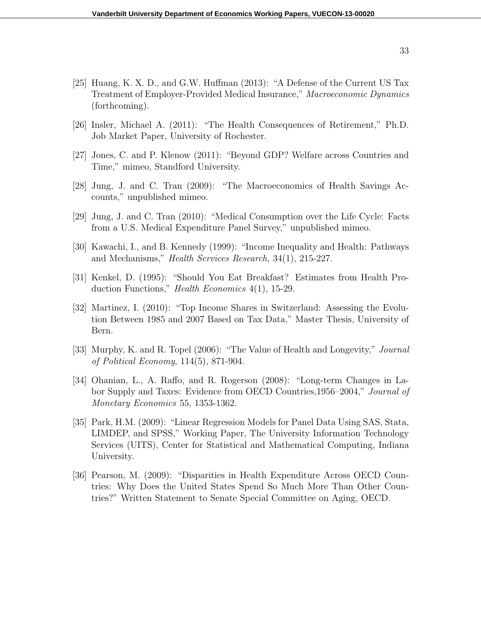- [25] Huang, K. X. D., and G.W. Huffman (2013): "A Defense of the Current US Tax Treatment of Employer-Provided Medical Insurance," *Macroeconomic Dynamics* (forthcoming).
- [26] Insler, Michael A. (2011): "The Health Consequences of Retirement," Ph.D. Job Market Paper, University of Rochester.
- [27] Jones, C. and P. Klenow (2011): "Beyond GDP? Welfare across Countries and Time," mimeo, Standford University.
- [28] Jung, J. and C. Tran (2009): "The Macroeconomics of Health Savings Accounts," unpublished mimeo.
- [29] Jung, J. and C. Tran (2010): "Medical Consumption over the Life Cycle: Facts from a U.S. Medical Expenditure Panel Survey," unpublished mimeo.
- [30] Kawachi, I., and B. Kennedy (1999): "Income Inequality and Health: Pathways and Mechanisms," *Health Services Research,* 34(1), 215-227.
- [31] Kenkel, D. (1995): "Should You Eat Breakfast? Estimates from Health Production Functions," *Health Economics* 4(1), 15-29.
- [32] Martinez, I. (2010): "Top Income Shares in Switzerland: Assessing the Evolution Between 1985 and 2007 Based on Tax Data," Master Thesis, University of Bern.
- [33] Murphy, K. and R. Topel (2006): "The Value of Health and Longevity," *Journal of Political Economy*, 114(5), 871-904.
- [34] Ohanian, L., A. Raffo, and R. Rogerson (2008): "Long-term Changes in Labor Supply and Taxes: Evidence from OECD Countries,1956–2004," *Journal of Monetary Economics* 55, 1353-1362.
- [35] Park, H.M. (2009): "Linear Regression Models for Panel Data Using SAS, Stata, LIMDEP, and SPSS," Working Paper, The University Information Technology Services (UITS), Center for Statistical and Mathematical Computing, Indiana University.
- [36] Pearson, M. (2009): "Disparities in Health Expenditure Across OECD Countries: Why Does the United States Spend So Much More Than Other Countries?" Written Statement to Senate Special Committee on Aging, OECD.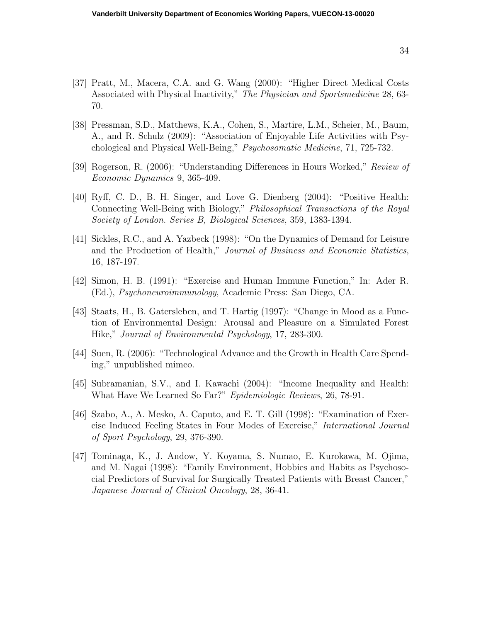- [37] Pratt, M., Macera, C.A. and G. Wang (2000): "Higher Direct Medical Costs Associated with Physical Inactivity," *The Physician and Sportsmedicine* 28, 63- 70.
- [38] Pressman, S.D., Matthews, K.A., Cohen, S., Martire, L.M., Scheier, M., Baum, A., and R. Schulz (2009): "Association of Enjoyable Life Activities with Psychological and Physical Well-Being," *Psychosomatic Medicine*, 71, 725-732.
- [39] Rogerson, R. (2006): "Understanding Differences in Hours Worked," *Review of Economic Dynamics* 9, 365-409.
- [40] Ryff, C. D., B. H. Singer, and Love G. Dienberg (2004): "Positive Health: Connecting Well-Being with Biology," *Philosophical Transactions of the Royal Society of London. Series B, Biological Sciences*, 359, 1383-1394.
- [41] Sickles, R.C., and A. Yazbeck (1998): "On the Dynamics of Demand for Leisure and the Production of Health," *Journal of Business and Economic Statistics*, 16, 187-197.
- [42] Simon, H. B. (1991): "Exercise and Human Immune Function," In: Ader R. (Ed.), *Psychoneuroimmunology*, Academic Press: San Diego, CA.
- [43] Staats, H., B. Gatersleben, and T. Hartig (1997): "Change in Mood as a Function of Environmental Design: Arousal and Pleasure on a Simulated Forest Hike," *Journal of Environmental Psychology*, 17, 283-300.
- [44] Suen, R. (2006): "Technological Advance and the Growth in Health Care Spending," unpublished mimeo.
- [45] Subramanian, S.V., and I. Kawachi (2004): "Income Inequality and Health: What Have We Learned So Far?" *Epidemiologic Reviews*, 26, 78-91.
- [46] Szabo, A., A. Mesko, A. Caputo, and E. T. Gill (1998): "Examination of Exercise Induced Feeling States in Four Modes of Exercise," *International Journal of Sport Psychology*, 29, 376-390.
- [47] Tominaga, K., J. Andow, Y. Koyama, S. Numao, E. Kurokawa, M. Ojima, and M. Nagai (1998): "Family Environment, Hobbies and Habits as Psychosocial Predictors of Survival for Surgically Treated Patients with Breast Cancer," *Japanese Journal of Clinical Oncology*, 28, 36-41.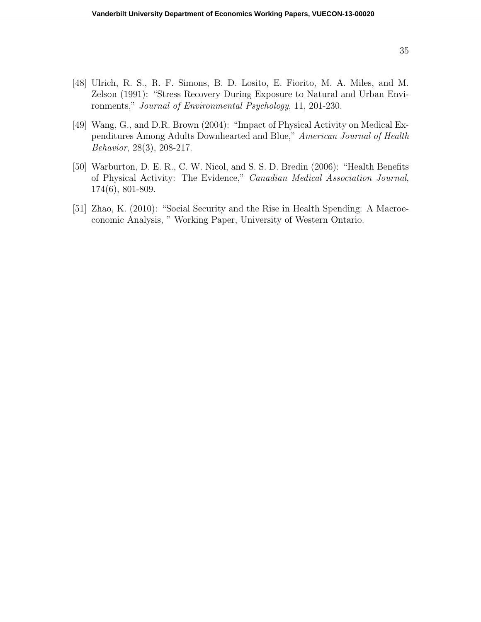- [48] Ulrich, R. S., R. F. Simons, B. D. Losito, E. Fiorito, M. A. Miles, and M. Zelson (1991): "Stress Recovery During Exposure to Natural and Urban Environments," *Journal of Environmental Psychology*, 11, 201-230.
- [49] Wang, G., and D.R. Brown (2004): "Impact of Physical Activity on Medical Expenditures Among Adults Downhearted and Blue," *American Journal of Health Behavior*, 28(3), 208-217.
- [50] Warburton, D. E. R., C. W. Nicol, and S. S. D. Bredin (2006): "Health Benefits of Physical Activity: The Evidence," *Canadian Medical Association Journal*, 174(6), 801-809.
- [51] Zhao, K. (2010): "Social Security and the Rise in Health Spending: A Macroeconomic Analysis, " Working Paper, University of Western Ontario.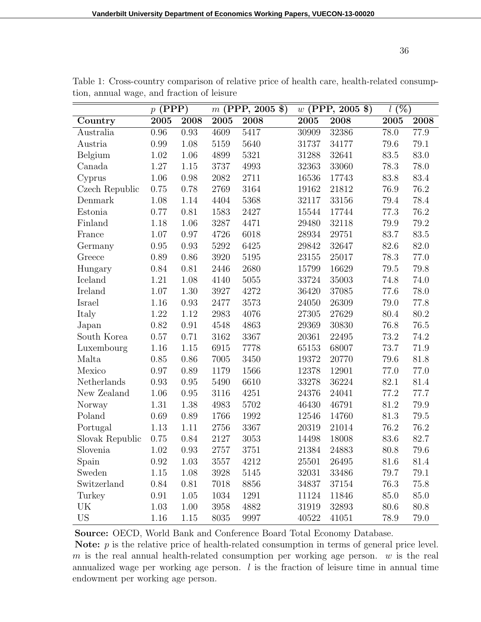|                 | $p$ (PPP)         |      | $m$ (PPP, 2005 \$) |      | $w$ (PPP, 2005 \$) |       | $\overline{l(%)}$ |      |
|-----------------|-------------------|------|--------------------|------|--------------------|-------|-------------------|------|
| Country         | $200\overline{5}$ | 2008 | 2005               | 2008 | 2005               | 2008  | 2005              | 2008 |
| Australia       | 0.96              | 0.93 | 4609               | 5417 | 30909              | 32386 | 78.0              | 77.9 |
| Austria         | 0.99              | 1.08 | 5159               | 5640 | 31737              | 34177 | 79.6              | 79.1 |
| Belgium         | 1.02              | 1.06 | 4899               | 5321 | 31288              | 32641 | 83.5              | 83.0 |
| Canada          | 1.27              | 1.15 | 3737               | 4993 | 32363              | 33060 | 78.3              | 78.0 |
| Cyprus          | 1.06              | 0.98 | 2082               | 2711 | 16536              | 17743 | 83.8              | 83.4 |
| Czech Republic  | 0.75              | 0.78 | 2769               | 3164 | 19162              | 21812 | 76.9              | 76.2 |
| Denmark         | 1.08              | 1.14 | 4404               | 5368 | 32117              | 33156 | 79.4              | 78.4 |
| Estonia         | 0.77              | 0.81 | 1583               | 2427 | 15544              | 17744 | 77.3              | 76.2 |
| Finland         | 1.18              | 1.06 | 3287               | 4471 | 29480              | 32118 | 79.9              | 79.2 |
| France          | 1.07              | 0.97 | 4726               | 6018 | 28934              | 29751 | 83.7              | 83.5 |
| Germany         | 0.95              | 0.93 | 5292               | 6425 | 29842              | 32647 | 82.6              | 82.0 |
| Greece          | 0.89              | 0.86 | 3920               | 5195 | 23155              | 25017 | 78.3              | 77.0 |
| Hungary         | 0.84              | 0.81 | 2446               | 2680 | 15799              | 16629 | 79.5              | 79.8 |
| Iceland         | 1.21              | 1.08 | 4140               | 5055 | 33724              | 35003 | 74.8              | 74.0 |
| Ireland         | 1.07              | 1.30 | 3927               | 4272 | 36420              | 37085 | 77.6              | 78.0 |
| Israel          | 1.16              | 0.93 | 2477               | 3573 | 24050              | 26309 | 79.0              | 77.8 |
| Italy           | 1.22              | 1.12 | 2983               | 4076 | 27305              | 27629 | 80.4              | 80.2 |
| Japan           | 0.82              | 0.91 | 4548               | 4863 | 29369              | 30830 | 76.8              | 76.5 |
| South Korea     | 0.57              | 0.71 | 3162               | 3367 | 20361              | 22495 | 73.2              | 74.2 |
| Luxembourg      | 1.16              | 1.15 | 6915               | 7778 | 65153              | 68007 | 73.7              | 71.9 |
| Malta           | 0.85              | 0.86 | 7005               | 3450 | 19372              | 20770 | 79.6              | 81.8 |
| Mexico          | 0.97              | 0.89 | 1179               | 1566 | 12378              | 12901 | 77.0              | 77.0 |
| Netherlands     | 0.93              | 0.95 | 5490               | 6610 | 33278              | 36224 | 82.1              | 81.4 |
| New Zealand     | 1.06              | 0.95 | 3116               | 4251 | 24376              | 24041 | 77.2              | 77.7 |
| Norway          | 1.31              | 1.38 | 4983               | 5702 | 46430              | 46791 | 81.2              | 79.9 |
| Poland          | 0.69              | 0.89 | 1766               | 1992 | 12546              | 14760 | 81.3              | 79.5 |
| Portugal        | 1.13              | 1.11 | 2756               | 3367 | 20319              | 21014 | 76.2              | 76.2 |
| Slovak Republic | 0.75              | 0.84 | 2127               | 3053 | 14498              | 18008 | 83.6              | 82.7 |
| Slovenia        | 1.02              | 0.93 | 2757               | 3751 | 21384              | 24883 | 80.8              | 79.6 |
| Spain           | 0.92              | 1.03 | 3557               | 4212 | 25501              | 26495 | 81.6              | 81.4 |
| Sweden          | $1.15\,$          | 1.08 | 3928               | 5145 | 32031              | 33486 | 79.7              | 79.1 |
| Switzerland     | 0.84              | 0.81 | 7018               | 8856 | 34837              | 37154 | 76.3              | 75.8 |
| Turkey          | 0.91              | 1.05 | 1034               | 1291 | 11124              | 11846 | 85.0              | 85.0 |
| UK              | 1.03              | 1.00 | 3958               | 4882 | 31919              | 32893 | 80.6              | 80.8 |
| <b>US</b>       | 1.16              | 1.15 | 8035               | 9997 | 40522              | 41051 | 78.9              | 79.0 |

Table 1: Cross-country comparison of relative price of health care, health-related consumption, annual wage, and fraction of leisure

**Source:** OECD, World Bank and Conference Board Total Economy Database.

Note: *p* is the relative price of health-related consumption in terms of general price level. *m* is the real annual health-related consumption per working age person. *w* is the real annualized wage per working age person. *l* is the fraction of leisure time in annual time endowment per working age person.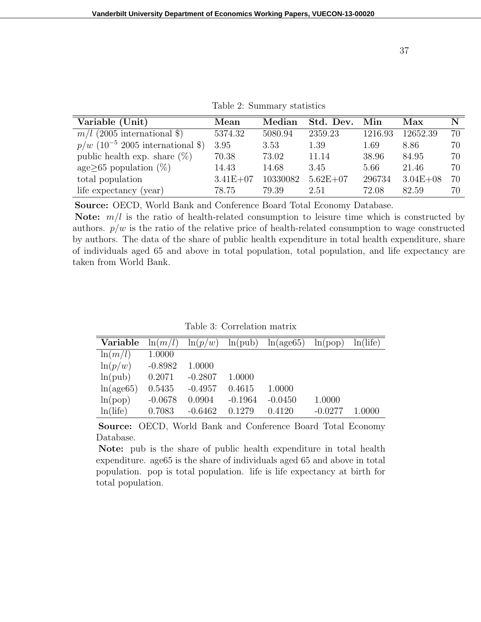| Variable (Unit)                                | Mean         | Median   | Std. Dev.    | Min     | Max          | N  |
|------------------------------------------------|--------------|----------|--------------|---------|--------------|----|
| $m/l$ (2005 international \$)                  | 5374.32      | 5080.94  | 2359.23      | 1216.93 | 12652.39     | 70 |
| $p/w$ (10 <sup>-5</sup> 2005 international \$) | 3.95         | 3.53     | 1.39         | 1.69    | 8.86         | 70 |
| public health exp. share $(\%)$                | 70.38        | 73.02    | 11.14        | 38.96   | 84.95        | 70 |
| $age \geq 65$ population $(\%)$                | 14.43        | 14.68    | 3.45         | 5.66    | 21.46        | 70 |
| total population                               | $3.41E + 07$ | 10330082 | $5.62E + 07$ | 296734  | $3.04E + 08$ | 70 |
| life expectancy (year)                         | 78.75        | 79.39    | 2.51         | 72.08   | 82.59        | 70 |

**Source:** OECD, World Bank and Conference Board Total Economy Database.

**Note:** *m/l* is the ratio of health-related consumption to leisure time which is constructed by authors.  $p/w$  is the ratio of the relative price of health-related consumption to wage constructed by authors. The data of the share of public health expenditure in total health expenditure, share of individuals aged 65 and above in total population, total population, and life expectancy are taken from World Bank.

Table 3: Correlation matrix

| Variable   | $\ln(m/l)$ | $\ln(p/w)$ | ln(pub)   | ln(age65) | ln(pop)   | ln(life) |
|------------|------------|------------|-----------|-----------|-----------|----------|
| $\ln(m/l)$ | 1.0000     |            |           |           |           |          |
| $\ln(p/w)$ | $-0.8982$  | 1.0000     |           |           |           |          |
| ln(pub)    | 0.2071     | $-0.2807$  | 1.0000    |           |           |          |
| ln(age65)  | 0.5435     | $-0.4957$  | 0.4615    | 1.0000    |           |          |
| ln(pop)    | $-0.0678$  | 0.0904     | $-0.1964$ | $-0.0450$ | 1.0000    |          |
| ln(life)   | 0.7083     | $-0.6462$  | 0.1279    | 0.4120    | $-0.0277$ | 1.0000   |

**Source:** OECD, World Bank and Conference Board Total Economy Database.

**Note:** pub is the share of public health expenditure in total health expenditure. age65 is the share of individuals aged 65 and above in total population. pop is total population. life is life expectancy at birth for total population.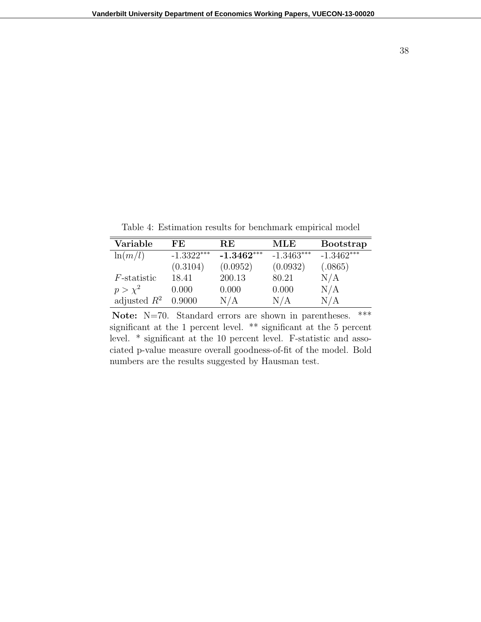38

Table 4: Estimation results for benchmark empirical model

| Variable       | FE.          | RE           | MLE          | <b>Bootstrap</b> |
|----------------|--------------|--------------|--------------|------------------|
| $\ln(m/l)$     | $-1.3322***$ | $-1.3462***$ | $-1.3463***$ | $-1.3462***$     |
|                | (0.3104)     | (0.0952)     | (0.0932)     | (.0865)          |
| $F$ -statistic | 18.41        | 200.13       | 80.21        | N/A              |
| $p > \chi^2$   | 0.000        | 0.000        | 0.000        | N/A              |
| adjusted $R^2$ | 0.9000       | N/A          | N/A          | $\rm N/A$        |

Note: N=70. Standard errors are shown in parentheses. \*\*\* significant at the 1 percent level. \*\* significant at the 5 percent level. \* significant at the 10 percent level. F-statistic and associated p-value measure overall goodness-of-fit of the model. Bold numbers are the results suggested by Hausman test.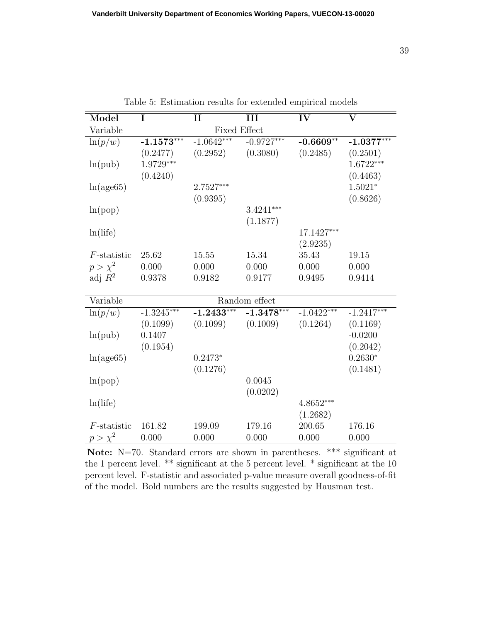| Model          | $\overline{\mathbf{I}}$ | $\mathbf{I}$            | III           | IV           | $\overline{\textbf{V}}$ |
|----------------|-------------------------|-------------------------|---------------|--------------|-------------------------|
| Variable       |                         | <b>Fixed Effect</b>     |               |              |                         |
| $\ln(p/w)$     | $-1.1573***$            | $-1.06\overline{42***}$ | $-0.9727***$  | $-0.6609**$  | $-1.0377***$            |
|                | (0.2477)                | (0.2952)                | (0.3080)      | (0.2485)     | (0.2501)                |
| ln(pub)        | $1.9729***$             |                         |               |              | $1.6722***$             |
|                | (0.4240)                |                         |               |              | (0.4463)                |
| ln(age65)      |                         | 2.7527***               |               |              | $1.5021*$               |
|                |                         | (0.9395)                |               |              | (0.8626)                |
| ln(pop)        |                         |                         | $3.4241***$   |              |                         |
|                |                         |                         | (1.1877)      |              |                         |
| ln(life)       |                         |                         |               | 17.1427***   |                         |
|                |                         |                         |               | (2.9235)     |                         |
| $F$ -statistic | 25.62                   | 15.55                   | 15.34         | 35.43        | 19.15                   |
| $p > \chi^2$   | 0.000                   | 0.000                   | 0.000         | 0.000        | 0.000                   |
| adj $R^2$      | 0.9378                  | 0.9182                  | 0.9177        | 0.9495       | 0.9414                  |
|                |                         |                         |               |              |                         |
| Variable       |                         |                         | Random effect |              |                         |
| $\ln(p/w)$     | $-1.3245***$            | $-1.2433***$            | $-1.3478***$  | $-1.0422***$ | $-1.2417***$            |
|                | (0.1099)                | (0.1099)                | (0.1009)      | (0.1264)     | (0.1169)                |
| ln(pub)        | 0.1407                  |                         |               |              | $-0.0200$               |
|                | (0.1954)                |                         |               |              | (0.2042)                |
| ln(age65)      |                         | $0.2473*$               |               |              | $0.2630*$               |
|                |                         | (0.1276)                |               |              | (0.1481)                |
| ln(pop)        |                         |                         | 0.0045        |              |                         |
|                |                         |                         | (0.0202)      |              |                         |
| ln(life)       |                         |                         |               | $4.8652***$  |                         |
|                |                         |                         |               | (1.2682)     |                         |
| $F$ -statistic | 161.82                  | 199.09                  | 179.16        | 200.65       | 176.16                  |
| $p > \chi^2$   | 0.000                   | 0.000                   | 0.000         | 0.000        | 0.000                   |

Table 5: Estimation results for extended empirical models

Note: N=70. Standard errors are shown in parentheses. \*\*\* significant at the 1 percent level. \*\* significant at the 5 percent level. \* significant at the 10 percent level. F-statistic and associated p-value measure overall goodness-of-fit of the model. Bold numbers are the results suggested by Hausman test.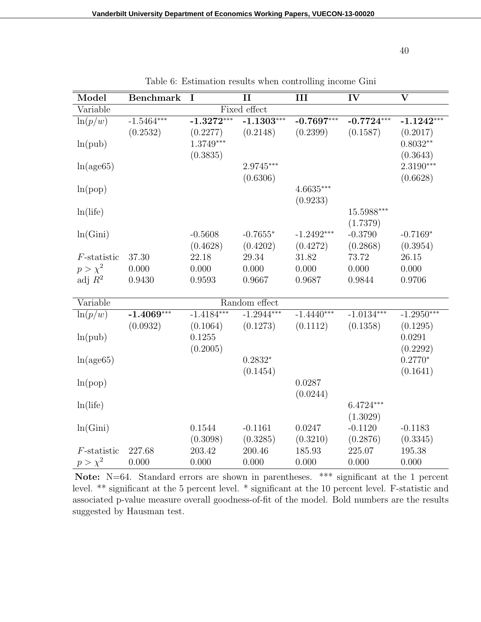| Model          | <b>Benchmark</b> | I                       | $\mathbf{I}$  | III          | $\overline{\text{IV}}$ | $\overline{\mathbf{V}}$ |
|----------------|------------------|-------------------------|---------------|--------------|------------------------|-------------------------|
| Variable       |                  |                         | Fixed effect  |              |                        |                         |
| $\ln(p/w)$     | $-1.5464***$     | $-1.\overline{3272}***$ | $-1.1303***$  | $-0.7697***$ | $-0.7724***$           | $-1.1242***$            |
|                | (0.2532)         | (0.2277)                | (0.2148)      | (0.2399)     | (0.1587)               | (0.2017)                |
| ln(pub)        |                  | $1.3749***$             |               |              |                        | $0.8032**$              |
|                |                  | (0.3835)                |               |              |                        | (0.3643)                |
| ln(age65)      |                  |                         | 2.9745***     |              |                        | $2.3190***$             |
|                |                  |                         | (0.6306)      |              |                        | (0.6628)                |
| ln(pop)        |                  |                         |               | $4.6635***$  |                        |                         |
|                |                  |                         |               | (0.9233)     |                        |                         |
| ln(life)       |                  |                         |               |              | 15.5988***             |                         |
|                |                  |                         |               |              | (1.7379)               |                         |
| ln(Gini)       |                  | $-0.5608$               | $-0.7655*$    | $-1.2492***$ | $-0.3790$              | $-0.7169*$              |
|                |                  | (0.4628)                | (0.4202)      | (0.4272)     | (0.2868)               | (0.3954)                |
| $F$ -statistic | 37.30            | 22.18                   | 29.34         | 31.82        | 73.72                  | 26.15                   |
| $p > \chi^2$   | 0.000            | 0.000                   | 0.000         | 0.000        | 0.000                  | 0.000                   |
| adj $R^2$      | 0.9430           | 0.9593                  | 0.9667        | 0.9687       | 0.9844                 | 0.9706                  |
|                |                  |                         |               |              |                        |                         |
| Variable       |                  |                         | Random effect |              |                        |                         |
| $\ln(p/w)$     | $-1.4069***$     | $-1.4184***$            | $-1.2944***$  | $-1.4440***$ | $-1.0134***$           | $-1.2950***$            |
|                | (0.0932)         | (0.1064)                | (0.1273)      | (0.1112)     | (0.1358)               | (0.1295)                |
| ln(pub)        |                  | 0.1255                  |               |              |                        | 0.0291                  |
|                |                  | (0.2005)                |               |              |                        | (0.2292)                |
| ln(age65)      |                  |                         | $0.2832*$     |              |                        | $0.2770*$               |
|                |                  |                         | (0.1454)      |              |                        | (0.1641)                |
| ln(pop)        |                  |                         |               | 0.0287       |                        |                         |
|                |                  |                         |               | (0.0244)     |                        |                         |
| ln(life)       |                  |                         |               |              | $6.4724***$            |                         |
|                |                  |                         |               |              | (1.3029)               |                         |
| ln(Gini)       |                  | 0.1544                  | $-0.1161$     | 0.0247       | $-0.1120$              | $-0.1183$               |
|                |                  | (0.3098)                | (0.3285)      | (0.3210)     | (0.2876)               | (0.3345)                |
| $F$ -statistic | 227.68           | 203.42                  | 200.46        | 185.93       | 225.07                 | 195.38                  |
| $p > \chi^2$   | 0.000            | 0.000                   | 0.000         | 0.000        | 0.000                  | 0.000                   |

Table 6: Estimation results when controlling income Gini

Note: N=64. Standard errors are shown in parentheses. \*\*\* significant at the 1 percent level. \*\* significant at the 5 percent level. \* significant at the 10 percent level. F-statistic and associated p-value measure overall goodness-of-fit of the model. Bold numbers are the results suggested by Hausman test.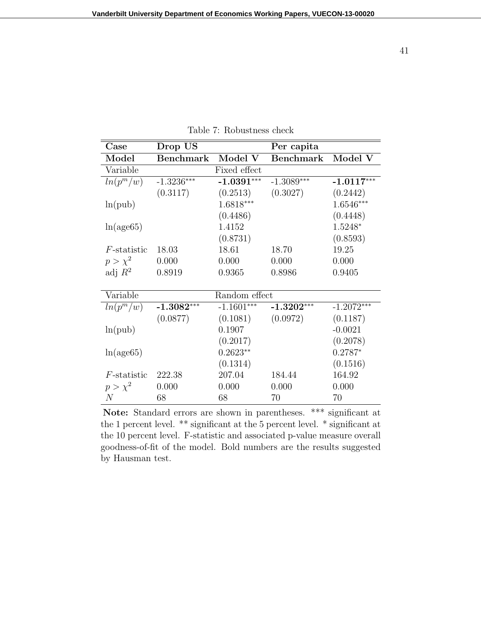| Case           | Drop US          |               | Per capita       |              |
|----------------|------------------|---------------|------------------|--------------|
| Model          | <b>Benchmark</b> | Model V       | <b>Benchmark</b> | Model V      |
| Variable       |                  | Fixed effect  |                  |              |
| $ln(p^m/w)$    | $-1.3236***$     | $-1.0391***$  | $-1.3089***$     | $-1.0117***$ |
|                | (0.3117)         | (0.2513)      | (0.3027)         | (0.2442)     |
| ln(pub)        |                  | $1.6818***$   |                  | $1.6546***$  |
|                |                  | (0.4486)      |                  | (0.4448)     |
| ln(age65)      |                  | 1.4152        |                  | 1.5248*      |
|                |                  | (0.8731)      |                  | (0.8593)     |
| $F$ -statistic | 18.03            | 18.61         | 18.70            | 19.25        |
| $p > \chi^2$   | 0.000            | 0.000         | 0.000            | 0.000        |
| adj $R^2$      | 0.8919           | 0.9365        | 0.8986           | 0.9405       |
|                |                  |               |                  |              |
| Variable       |                  | Random effect |                  |              |
| $ln(p^m/w)$    | $-1.3082***$     | $-1.1601***$  | $-1.3202***$     | $-1.2072***$ |
|                | (0.0877)         | (0.1081)      | (0.0972)         | (0.1187)     |
| ln(pub)        |                  | 0.1907        |                  | $-0.0021$    |
|                |                  | (0.2017)      |                  | (0.2078)     |
| ln(age65)      |                  | $0.2623**$    |                  | $0.2787*$    |
|                |                  | (0.1314)      |                  | (0.1516)     |
| $F$ -statistic | 222.38           | 207.04        | 184.44           | 164.92       |
| $p > \chi^2$   | 0.000            | 0.000         | 0.000            | 0.000        |
| N              | 68               | 68            | 70               | 70           |

Table 7: Robustness check

**Note:** Standard errors are shown in parentheses. \*\*\* significant at the 1 percent level. \*\* significant at the 5 percent level. \* significant at the 10 percent level. F-statistic and associated p-value measure overall goodness-of-fit of the model. Bold numbers are the results suggested by Hausman test.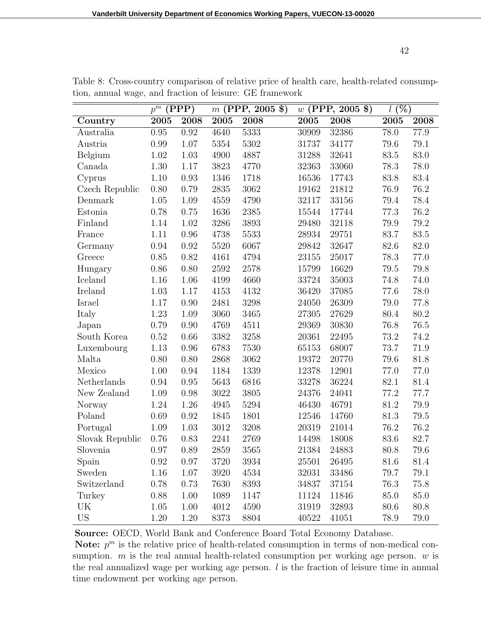|                 | $p^{\overline{m}}$ | (PPP)    | $(PPP, 2005 \$<br>m |      | $(PPP, 2005 \$<br>$\boldsymbol{w}$ |       | $\overline{l(%)}$ |          |
|-----------------|--------------------|----------|---------------------|------|------------------------------------|-------|-------------------|----------|
| Country         | 2005               | 2008     | 2005                | 2008 | 2005                               | 2008  | 2005              | 2008     |
| Australia       | 0.95               | 0.92     | 4640                | 5333 | 30909                              | 32386 | 78.0              | 77.9     |
| Austria         | 0.99               | 1.07     | 5354                | 5302 | 31737                              | 34177 | 79.6              | 79.1     |
| Belgium         | 1.02               | 1.03     | 4900                | 4887 | 31288                              | 32641 | 83.5              | 83.0     |
| Canada          | 1.30               | 1.17     | 3823                | 4770 | 32363                              | 33060 | 78.3              | 78.0     |
| Cyprus          | 1.10               | 0.93     | 1346                | 1718 | 16536                              | 17743 | 83.8              | 83.4     |
| Czech Republic  | 0.80               | 0.79     | 2835                | 3062 | 19162                              | 21812 | 76.9              | 76.2     |
| Denmark         | 1.05               | 1.09     | 4559                | 4790 | 32117                              | 33156 | 79.4              | 78.4     |
| Estonia         | 0.78               | 0.75     | 1636                | 2385 | 15544                              | 17744 | 77.3              | 76.2     |
| Finland         | 1.14               | 1.02     | 3286                | 3893 | 29480                              | 32118 | 79.9              | 79.2     |
| France          | 1.11               | 0.96     | 4738                | 5533 | 28934                              | 29751 | 83.7              | 83.5     |
| Germany         | 0.94               | 0.92     | 5520                | 6067 | 29842                              | 32647 | 82.6              | 82.0     |
| Greece          | 0.85               | 0.82     | 4161                | 4794 | 23155                              | 25017 | 78.3              | 77.0     |
| Hungary         | 0.86               | 0.80     | 2592                | 2578 | 15799                              | 16629 | 79.5              | 79.8     |
| Iceland         | 1.16               | 1.06     | 4199                | 4660 | 33724                              | 35003 | 74.8              | 74.0     |
| Ireland         | 1.03               | 1.17     | 4153                | 4132 | 36420                              | 37085 | 77.6              | 78.0     |
| Israel          | 1.17               | 0.90     | 2481                | 3298 | 24050                              | 26309 | 79.0              | 77.8     |
| Italy           | 1.23               | 1.09     | 3060                | 3465 | 27305                              | 27629 | 80.4              | 80.2     |
| Japan           | 0.79               | 0.90     | 4769                | 4511 | 29369                              | 30830 | 76.8              | $76.5\,$ |
| South Korea     | 0.52               | 0.66     | 3382                | 3258 | 20361                              | 22495 | 73.2              | 74.2     |
| Luxembourg      | 1.13               | 0.96     | 6783                | 7530 | 65153                              | 68007 | 73.7              | $71.9\,$ |
| Malta           | 0.80               | 0.80     | 2868                | 3062 | 19372                              | 20770 | 79.6              | 81.8     |
| Mexico          | 1.00               | 0.94     | 1184                | 1339 | 12378                              | 12901 | 77.0              | 77.0     |
| Netherlands     | 0.94               | 0.95     | 5643                | 6816 | 33278                              | 36224 | 82.1              | 81.4     |
| New Zealand     | 1.09               | 0.98     | 3022                | 3805 | 24376                              | 24041 | 77.2              | 77.7     |
| Norway          | 1.24               | 1.26     | 4945                | 5294 | 46430                              | 46791 | 81.2              | 79.9     |
| Poland          | 0.69               | 0.92     | 1845                | 1801 | 12546                              | 14760 | 81.3              | 79.5     |
| Portugal        | 1.09               | 1.03     | 3012                | 3208 | 20319                              | 21014 | 76.2              | 76.2     |
| Slovak Republic | 0.76               | 0.83     | 2241                | 2769 | 14498                              | 18008 | 83.6              | 82.7     |
| Slovenia        | 0.97               | $0.89\,$ | 2859                | 3565 | 21384                              | 24883 | 80.8              | 79.6     |
| Spain           | 0.92               | 0.97     | 3720                | 3934 | 25501                              | 26495 | 81.6              | 81.4     |
| Sweden          | 1.16               | 1.07     | 3920                | 4534 | 32031                              | 33486 | 79.7              | 79.1     |
| Switzerland     | 0.78               | 0.73     | 7630                | 8393 | 34837                              | 37154 | 76.3              | 75.8     |
| Turkey          | 0.88               | 1.00     | 1089                | 1147 | 11124                              | 11846 | 85.0              | 85.0     |
| UK              | 1.05               | 1.00     | 4012                | 4590 | 31919                              | 32893 | 80.6              | 80.8     |
| <b>US</b>       | 1.20               | 1.20     | 8373                | 8804 | 40522                              | 41051 | 78.9              | 79.0     |

Table 8: Cross-country comparison of relative price of health care, health-related consumption, annual wage, and fraction of leisure: GE framework

**Source:** OECD, World Bank and Conference Board Total Economy Database.

Note:  $p^m$  is the relative price of health-related consumption in terms of non-medical consumption. *m* is the real annual health-related consumption per working age person. *w* is the real annualized wage per working age person. *l* is the fraction of leisure time in annual time endowment per working age person.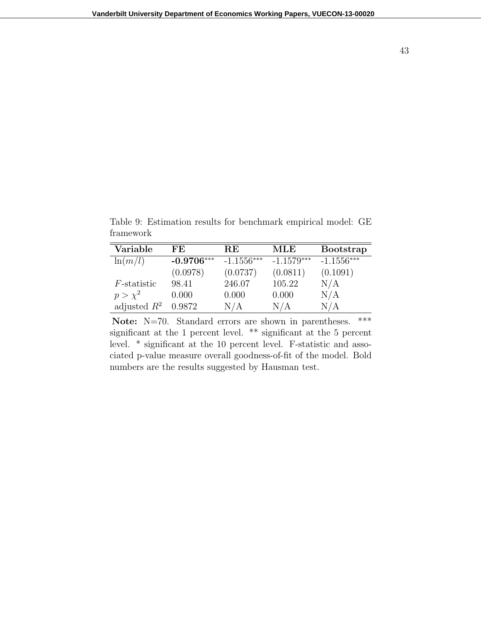Table 9: Estimation results for benchmark empirical model: GE framework

| Variable            | FF.          | RE           | MLE          | <b>Bootstrap</b>           |
|---------------------|--------------|--------------|--------------|----------------------------|
| $\ln(m/l)$          | $-0.9706***$ | $-1.1556***$ | $-1.1579***$ | $-1.15\overline{56}^{***}$ |
|                     | (0.0978)     | (0.0737)     | (0.0811)     | (0.1091)                   |
| <i>F</i> -statistic | 98.41        | 246.07       | 105.22       | N/A                        |
| $p > \chi^2$        | 0.000        | 0.000        | 0.000        | N/A                        |
| adjusted $R^2$      | 0.9872       | N/A          | N/A          | N/A                        |

Note: N=70. Standard errors are shown in parentheses. \*\*\* significant at the 1 percent level. \*\* significant at the 5 percent level. \* significant at the 10 percent level. F-statistic and associated p-value measure overall goodness-of-fit of the model. Bold numbers are the results suggested by Hausman test.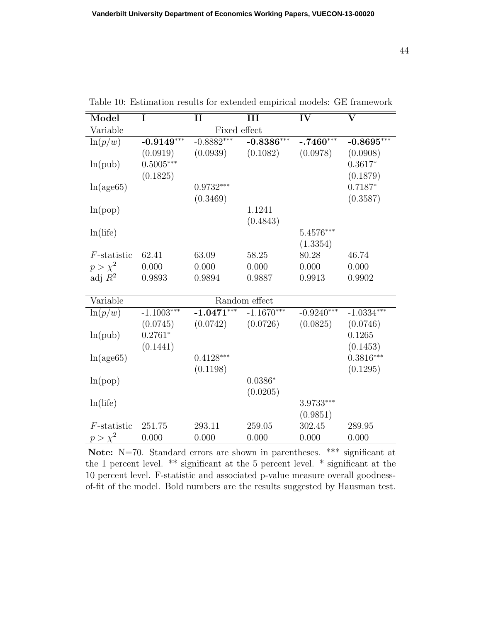| Model          | I            | $\mathbf{I}$            | III           | IV           | $\overline{\mathbf{V}}$ |  |  |  |
|----------------|--------------|-------------------------|---------------|--------------|-------------------------|--|--|--|
| Variable       | Fixed effect |                         |               |              |                         |  |  |  |
| $\ln(p/w)$     | $-0.9149***$ | $-0.8882***$            | $-0.8386***$  | $-.7460***$  | $-0.8695***$            |  |  |  |
|                | (0.0919)     | (0.0939)                | (0.1082)      | (0.0978)     | (0.0908)                |  |  |  |
| ln(pub)        | $0.5005***$  |                         |               |              | $0.3617*$               |  |  |  |
|                | (0.1825)     |                         |               |              | (0.1879)                |  |  |  |
| ln(age65)      |              | $0.9732***$             |               |              | $0.7187*$               |  |  |  |
|                |              | (0.3469)                |               |              | (0.3587)                |  |  |  |
| ln(pop)        |              |                         | 1.1241        |              |                         |  |  |  |
|                |              |                         | (0.4843)      |              |                         |  |  |  |
| ln(life)       |              |                         |               | $5.4576***$  |                         |  |  |  |
|                |              |                         |               | (1.3354)     |                         |  |  |  |
| $F$ -statistic | 62.41        | 63.09                   | 58.25         | 80.28        | 46.74                   |  |  |  |
| $p > \chi^2$   | 0.000        | 0.000                   | 0.000         | 0.000        | 0.000                   |  |  |  |
| adj $R^2$      | 0.9893       | 0.9894                  | 0.9887        | 0.9913       | 0.9902                  |  |  |  |
|                |              |                         |               |              |                         |  |  |  |
| Variable       |              |                         | Random effect |              |                         |  |  |  |
| $\ln(p/w)$     | $-1.1003***$ | $-1.04\overline{71***}$ | $-1.1670***$  | $-0.9240***$ | $-1.0334***$            |  |  |  |
|                | (0.0745)     | (0.0742)                | (0.0726)      | (0.0825)     | (0.0746)                |  |  |  |
| ln(pub)        | $0.2761*$    |                         |               |              | 0.1265                  |  |  |  |
|                | (0.1441)     |                         |               |              | (0.1453)                |  |  |  |
| ln(age65)      |              | $0.4128***$             |               |              | $0.3816***$             |  |  |  |
|                |              | (0.1198)                |               |              | (0.1295)                |  |  |  |
| ln(pop)        |              |                         | $0.0386*$     |              |                         |  |  |  |
|                |              |                         | (0.0205)      |              |                         |  |  |  |
| ln(life)       |              |                         |               | 3.9733***    |                         |  |  |  |
|                |              |                         |               | (0.9851)     |                         |  |  |  |
| $F$ -statistic | 251.75       | 293.11                  | 259.05        | 302.45       | 289.95                  |  |  |  |
| $p > \chi^2$   | 0.000        | 0.000                   | 0.000         | 0.000        | 0.000                   |  |  |  |
|                |              |                         |               |              |                         |  |  |  |

Table 10: Estimation results for extended empirical models: GE framework

Note: N=70. Standard errors are shown in parentheses. \*\*\* significant at the 1 percent level. \*\* significant at the 5 percent level. \* significant at the 10 percent level. F-statistic and associated p-value measure overall goodnessof-fit of the model. Bold numbers are the results suggested by Hausman test.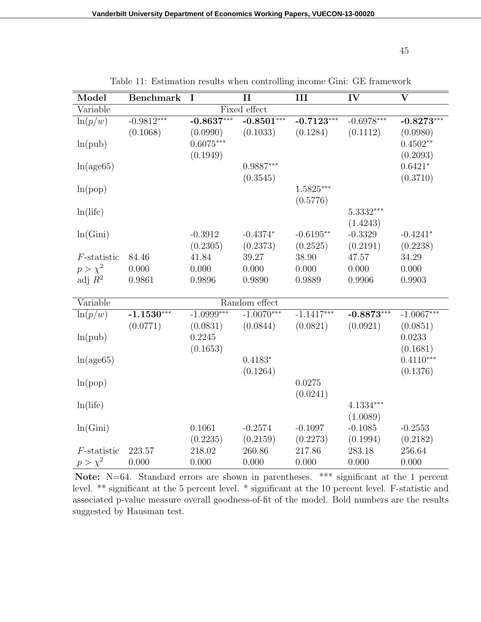| Model          | <b>Benchmark</b> | I            | $\mathbf{I}$  | III          | IV           | $\overline{\mathbf{V}}$ |
|----------------|------------------|--------------|---------------|--------------|--------------|-------------------------|
| Variable       |                  |              | Fixed effect  |              |              |                         |
| $\ln(p/w)$     | $-0.9812***$     | $-0.8637***$ | $-0.8501***$  | $-0.7123***$ | $-0.6978***$ | $-0.8273***$            |
|                | (0.1068)         | (0.0990)     | (0.1033)      | (0.1284)     | (0.1112)     | (0.0980)                |
| ln(pub)        |                  | $0.6075***$  |               |              |              | $0.4502**$              |
|                |                  | (0.1949)     |               |              |              | (0.2093)                |
| ln(age65)      |                  |              | $0.9887***$   |              |              | $0.6421*$               |
|                |                  |              | (0.3545)      |              |              | (0.3710)                |
| ln(pop)        |                  |              |               | $1.5825***$  |              |                         |
|                |                  |              |               | (0.5776)     |              |                         |
| ln(life)       |                  |              |               |              | $5.3332***$  |                         |
|                |                  |              |               |              | (1.4243)     |                         |
| ln(Gini)       |                  | $-0.3912$    | $-0.4374*$    | $-0.6195**$  | $-0.3329$    | $-0.4241*$              |
|                |                  | (0.2305)     | (0.2373)      | (0.2525)     | (0.2191)     | (0.2238)                |
| $F$ -statistic | 84.46            | 41.84        | 39.27         | 38.90        | 47.57        | 34.29                   |
| $p > \chi^2$   | 0.000            | 0.000        | 0.000         | 0.000        | 0.000        | 0.000                   |
| adj $R^2$      | 0.9861           | 0.9896       | 0.9890        | 0.9889       | 0.9906       | 0.9903                  |
|                |                  |              |               |              |              |                         |
| Variable       |                  |              | Random effect |              |              |                         |
| $\ln(p/w)$     | $-1.1530***$     | $-1.0999***$ | $-1.0070***$  | $-1.1417***$ | $-0.8873***$ | $-1.0067***$            |
|                | (0.0771)         | (0.0831)     | (0.0844)      | (0.0821)     | (0.0921)     | (0.0851)                |
| ln(pub)        |                  | 0.2245       |               |              |              | 0.0233                  |
|                |                  | (0.1653)     |               |              |              | (0.1681)                |
| ln(age65)      |                  |              | $0.4183*$     |              |              | $0.4110***$             |
|                |                  |              | (0.1264)      |              |              | (0.1376)                |
| ln(pop)        |                  |              |               | 0.0275       |              |                         |
|                |                  |              |               | (0.0241)     |              |                         |
| ln(life)       |                  |              |               |              | $4.1334***$  |                         |
|                |                  |              |               |              | (1.0089)     |                         |
| ln(Gini)       |                  | 0.1061       | $-0.2574$     | $-0.1097$    | $-0.1085$    | $-0.2553$               |
|                |                  | (0.2235)     | (0.2159)      | (0.2273)     | (0.1994)     | (0.2182)                |
| $F$ -statistic | 223.57           | 218.02       | 260.86        | 217.86       | 283.18       | 256.64                  |
| $p > \chi^2$   | 0.000            | 0.000        | 0.000         | 0.000        | 0.000        | 0.000                   |

Table 11: Estimation results when controlling income Gini: GE framework

Note: N=64. Standard errors are shown in parentheses. \*\*\* significant at the 1 percent level. \*\* significant at the 5 percent level. \* significant at the 10 percent level. F-statistic and associated p-value measure overall goodness-of-fit of the model. Bold numbers are the results suggested by Hausman test.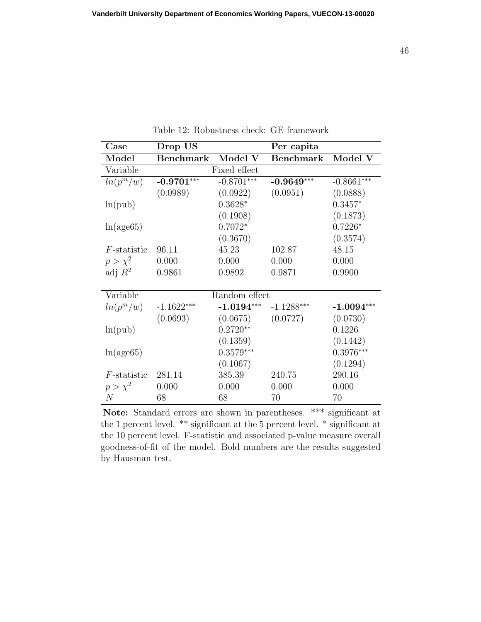| Case                      | Drop US          |              | Per capita       |              |
|---------------------------|------------------|--------------|------------------|--------------|
| Model                     | <b>Benchmark</b> | Model V      | <b>Benchmark</b> | Model V      |
| Variable<br>Fixed effect  |                  |              |                  |              |
| $ln(p^m/w)$               | $-0.9701***$     | $-0.8701***$ | $-0.9649***$     | $-0.8661***$ |
|                           | (0.0989)         | (0.0922)     | (0.0951)         | (0.0888)     |
| ln(pub)                   |                  | $0.3628*$    |                  | $0.3457*$    |
|                           |                  | (0.1908)     |                  | (0.1873)     |
| ln(age65)                 |                  | $0.7072*$    |                  | $0.7226*$    |
|                           |                  | (0.3670)     |                  | (0.3574)     |
| $F$ -statistic            | 96.11            | 45.23        | 102.87           | 48.15        |
| $p > \chi^2$              | 0.000            | 0.000        | 0.000            | 0.000        |
| adj $R^2$                 | 0.9861           | 0.9892       | 0.9871           | 0.9900       |
|                           |                  |              |                  |              |
| Variable<br>Random effect |                  |              |                  |              |
| $ln(p^m/w)$               | $-1.1622***$     | $-1.0194***$ | $-1.1288***$     | $-1.0094***$ |
|                           | (0.0693)         | (0.0675)     | (0.0727)         | (0.0730)     |
| ln(pub)                   |                  | $0.2720**$   |                  | 0.1226       |
|                           |                  | (0.1359)     |                  | (0.1442)     |
| ln(age65)                 |                  | $0.3579***$  |                  | $0.3976***$  |
|                           |                  | (0.1067)     |                  | (0.1294)     |
| $F$ -statistic            | 281.14           | 385.39       | 240.75           | 290.16       |
| $p > \chi^2$              | 0.000            | 0.000        | 0.000            | 0.000        |
| N                         | 68               | 68           | 70               | 70           |

Table 12: Robustness check: GE framework

**Note:** Standard errors are shown in parentheses. \*\*\* significant at the 1 percent level. \*\* significant at the 5 percent level. \* significant at the 10 percent level. F-statistic and associated p-value measure overall goodness-of-fit of the model. Bold numbers are the results suggested by Hausman test.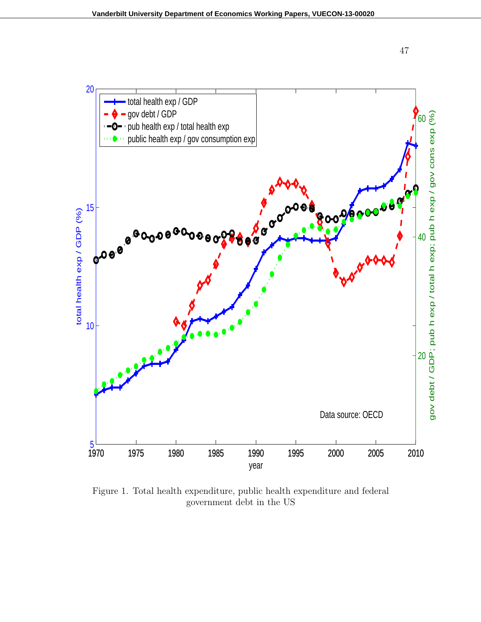



Figure 1. Total health expenditure, public health expenditure and federal government debt in the US